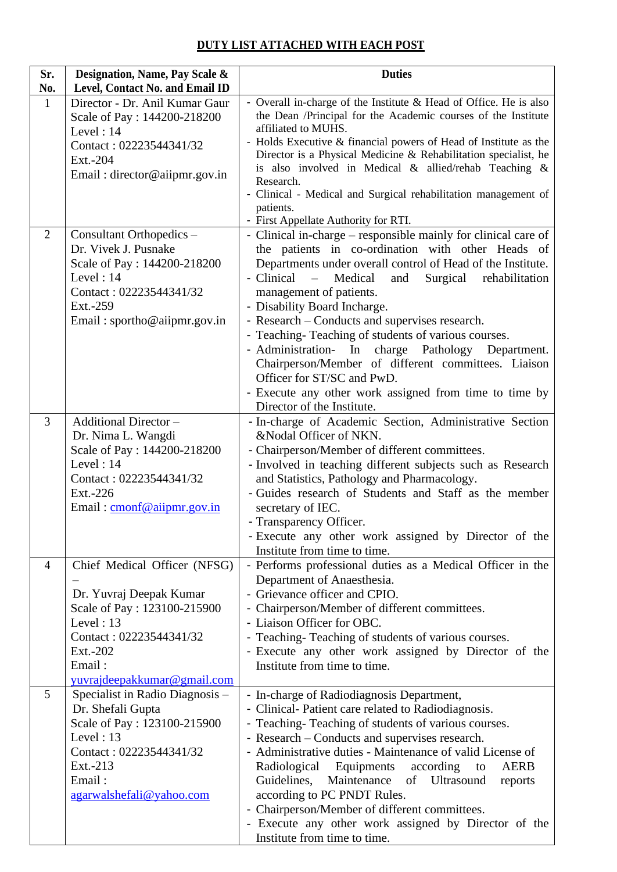## **DUTY LIST ATTACHED WITH EACH POST**

| Sr.                 | Designation, Name, Pay Scale &                                    | <b>Duties</b>                                                                                                          |
|---------------------|-------------------------------------------------------------------|------------------------------------------------------------------------------------------------------------------------|
| No.<br>$\mathbf{1}$ | Level, Contact No. and Email ID<br>Director - Dr. Anil Kumar Gaur | - Overall in-charge of the Institute & Head of Office. He is also                                                      |
|                     | Scale of Pay: 144200-218200                                       | the Dean /Principal for the Academic courses of the Institute                                                          |
|                     | Level: 14                                                         | affiliated to MUHS.<br>- Holds Executive & financial powers of Head of Institute as the                                |
|                     | Contact: 02223544341/32                                           | Director is a Physical Medicine & Rehabilitation specialist, he                                                        |
|                     | Ext.-204<br>Email: director@aiipmr.gov.in                         | is also involved in Medical & allied/rehab Teaching &                                                                  |
|                     |                                                                   | Research.                                                                                                              |
|                     |                                                                   | - Clinical - Medical and Surgical rehabilitation management of<br>patients.                                            |
|                     |                                                                   | - First Appellate Authority for RTI.                                                                                   |
| 2                   | Consultant Orthopedics -                                          | - Clinical in-charge – responsible mainly for clinical care of                                                         |
|                     | Dr. Vivek J. Pusnake                                              | the patients in co-ordination with other Heads of<br>Departments under overall control of Head of the Institute.       |
|                     | Scale of Pay: 144200-218200<br>Level: $14$                        | - Clinical<br>Medical<br>Surgical<br>rehabilitation<br>$\equiv$<br>and                                                 |
|                     | Contact: 02223544341/32                                           | management of patients.                                                                                                |
|                     | Ext.-259                                                          | - Disability Board Incharge.                                                                                           |
|                     | Email: $sportho@aiipmr.gov.in$                                    | - Research – Conducts and supervises research.                                                                         |
|                     |                                                                   | - Teaching-Teaching of students of various courses.<br>- Administration-<br>charge<br>Pathology<br>In<br>Department.   |
|                     |                                                                   | Chairperson/Member of different committees. Liaison                                                                    |
|                     |                                                                   | Officer for ST/SC and PwD.                                                                                             |
|                     |                                                                   | - Execute any other work assigned from time to time by                                                                 |
|                     |                                                                   | Director of the Institute.                                                                                             |
| $\overline{3}$      | Additional Director-<br>Dr. Nima L. Wangdi                        | - In-charge of Academic Section, Administrative Section<br>&Nodal Officer of NKN.                                      |
|                     | Scale of Pay: 144200-218200                                       | - Chairperson/Member of different committees.                                                                          |
|                     | Level: $14$                                                       | - Involved in teaching different subjects such as Research                                                             |
|                     | Contact: 02223544341/32                                           | and Statistics, Pathology and Pharmacology.                                                                            |
|                     | Ext.-226                                                          | - Guides research of Students and Staff as the member                                                                  |
|                     | Email: cmonf@aiipmr.gov.in                                        | secretary of IEC.<br>- Transparency Officer.                                                                           |
|                     |                                                                   | - Execute any other work assigned by Director of the                                                                   |
|                     |                                                                   | Institute from time to time.                                                                                           |
| $\overline{4}$      | Chief Medical Officer (NFSG)                                      | - Performs professional duties as a Medical Officer in the                                                             |
|                     |                                                                   | Department of Anaesthesia.<br>- Grievance officer and CPIO.                                                            |
|                     | Dr. Yuvraj Deepak Kumar<br>Scale of Pay: 123100-215900            | - Chairperson/Member of different committees.                                                                          |
|                     | Level: $13$                                                       | - Liaison Officer for OBC.                                                                                             |
|                     | Contact: 02223544341/32                                           | - Teaching-Teaching of students of various courses.                                                                    |
|                     | Ext.-202                                                          | - Execute any other work assigned by Director of the                                                                   |
|                     | Email:<br>yuvrajdeepakkumar@gmail.com                             | Institute from time to time.                                                                                           |
| 5                   | Specialist in Radio Diagnosis -                                   | - In-charge of Radiodiagnosis Department,                                                                              |
|                     | Dr. Shefali Gupta                                                 | - Clinical-Patient care related to Radiodiagnosis.                                                                     |
|                     | Scale of Pay: 123100-215900                                       | - Teaching-Teaching of students of various courses.                                                                    |
|                     | Level: 13                                                         | - Research – Conducts and supervises research.                                                                         |
|                     | Contact: 02223544341/32<br>Ext.-213                               | - Administrative duties - Maintenance of valid License of<br><b>AERB</b><br>Radiological Equipments<br>according<br>to |
|                     | Email:                                                            | Guidelines, Maintenance<br>Ultrasound<br>of<br>reports                                                                 |
|                     | agarwalshefali@yahoo.com                                          | according to PC PNDT Rules.                                                                                            |
|                     |                                                                   | - Chairperson/Member of different committees.                                                                          |
|                     |                                                                   | - Execute any other work assigned by Director of the                                                                   |
|                     |                                                                   | Institute from time to time.                                                                                           |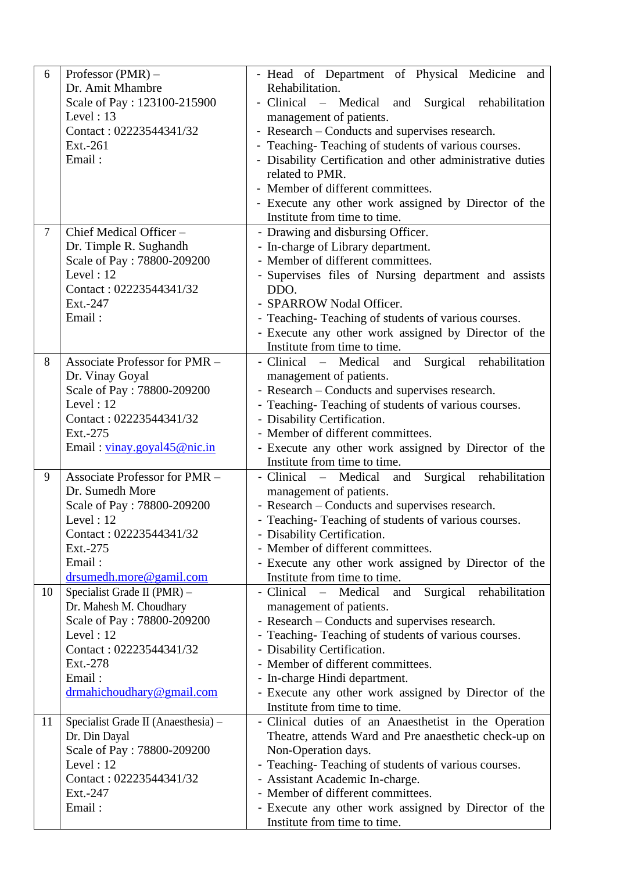| 6      | Professor $(PMR)$ –                     | - Head of Department of Physical Medicine and                                          |
|--------|-----------------------------------------|----------------------------------------------------------------------------------------|
|        | Dr. Amit Mhambre                        | Rehabilitation.                                                                        |
|        | Scale of Pay: 123100-215900             | - Clinical – Medical and<br>Surgical rehabilitation                                    |
|        | Level: $13$                             | management of patients.                                                                |
|        | Contact: 02223544341/32                 | - Research – Conducts and supervises research.                                         |
|        | Ext.-261                                | - Teaching-Teaching of students of various courses.                                    |
|        | Email:                                  | - Disability Certification and other administrative duties                             |
|        |                                         | related to PMR.                                                                        |
|        |                                         | - Member of different committees.                                                      |
|        |                                         | - Execute any other work assigned by Director of the                                   |
|        |                                         | Institute from time to time.                                                           |
| $\tau$ | Chief Medical Officer -                 | - Drawing and disbursing Officer.                                                      |
|        |                                         | - In-charge of Library department.                                                     |
|        | Dr. Timple R. Sughandh                  | - Member of different committees.                                                      |
|        | Scale of Pay: 78800-209200<br>Level: 12 |                                                                                        |
|        |                                         | - Supervises files of Nursing department and assists                                   |
|        | Contact: 02223544341/32                 | DDO.                                                                                   |
|        | Ext.-247                                | - SPARROW Nodal Officer.                                                               |
|        | Email:                                  | - Teaching-Teaching of students of various courses.                                    |
|        |                                         | - Execute any other work assigned by Director of the                                   |
|        |                                         | Institute from time to time.                                                           |
| 8      | <b>Associate Professor for PMR -</b>    | - Clinical – Medical and<br>Surgical rehabilitation                                    |
|        | Dr. Vinay Goyal                         | management of patients.                                                                |
|        | Scale of Pay: 78800-209200              | - Research – Conducts and supervises research.                                         |
|        | Level: $12$                             | - Teaching-Teaching of students of various courses.                                    |
|        | Contact: 02223544341/32                 | - Disability Certification.                                                            |
|        | Ext.-275                                | - Member of different committees.                                                      |
|        | Email: vinay.goyal45@nic.in             | - Execute any other work assigned by Director of the                                   |
|        |                                         | Institute from time to time.                                                           |
| 9      | <b>Associate Professor for PMR -</b>    | - Clinical<br>rehabilitation<br>Surgical<br>Medical<br>and<br>$\overline{\phantom{m}}$ |
|        | Dr. Sumedh More                         | management of patients.                                                                |
|        | Scale of Pay: 78800-209200              | - Research – Conducts and supervises research.                                         |
|        | Level: $12$                             | - Teaching-Teaching of students of various courses.                                    |
|        | Contact: 02223544341/32                 | - Disability Certification.                                                            |
|        | Ext.-275                                | - Member of different committees.                                                      |
|        | Email:                                  | - Execute any other work assigned by Director of the                                   |
|        | drsumedh.more@gamil.com                 | Institute from time to time.                                                           |
| 10     | Specialist Grade II (PMR) -             | Surgical<br>- Clinical – Medical<br>rehabilitation<br>and                              |
|        | Dr. Mahesh M. Choudhary                 | management of patients.                                                                |
|        | Scale of Pay: 78800-209200              | - Research – Conducts and supervises research.                                         |
|        | Level: 12                               | - Teaching-Teaching of students of various courses.                                    |
|        | Contact: 02223544341/32                 | - Disability Certification.                                                            |
|        | Ext.-278                                | - Member of different committees.                                                      |
|        | Email:                                  | - In-charge Hindi department.                                                          |
|        | drmahichoudhary@gmail.com               | - Execute any other work assigned by Director of the                                   |
|        |                                         | Institute from time to time.                                                           |
| 11     | Specialist Grade II (Anaesthesia) –     | - Clinical duties of an Anaesthetist in the Operation                                  |
|        | Dr. Din Dayal                           | Theatre, attends Ward and Pre anaesthetic check-up on                                  |
|        | Scale of Pay: 78800-209200              | Non-Operation days.                                                                    |
|        | Level: 12                               | - Teaching-Teaching of students of various courses.                                    |
|        | Contact: 02223544341/32                 | - Assistant Academic In-charge.                                                        |
|        | Ext.-247                                | - Member of different committees.                                                      |
|        | Email:                                  | - Execute any other work assigned by Director of the                                   |
|        |                                         | Institute from time to time.                                                           |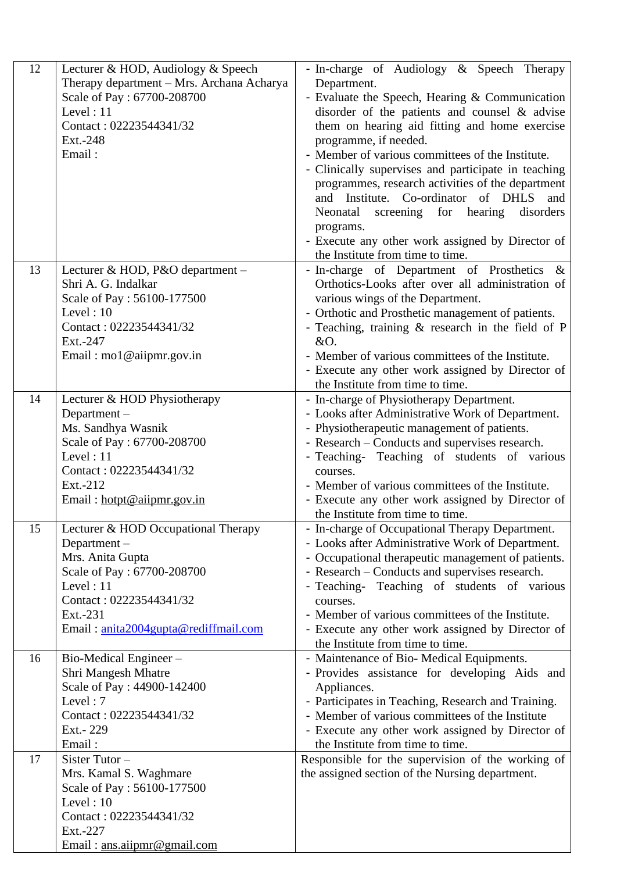| 12 | Lecturer & HOD, Audiology & Speech<br>Therapy department - Mrs. Archana Acharya<br>Scale of Pay: 67700-208700<br>Level: $11$<br>Contact: 02223544341/32<br>Ext.-248<br>Email:                       | - In-charge of Audiology & Speech Therapy<br>Department.<br>- Evaluate the Speech, Hearing & Communication<br>disorder of the patients and counsel $\&$ advise<br>them on hearing aid fitting and home exercise<br>programme, if needed.<br>- Member of various committees of the Institute.<br>- Clinically supervises and participate in teaching<br>programmes, research activities of the department<br>and Institute. Co-ordinator of DHLS<br>and<br>Neonatal screening for hearing<br>disorders<br>programs.<br>- Execute any other work assigned by Director of<br>the Institute from time to time. |
|----|-----------------------------------------------------------------------------------------------------------------------------------------------------------------------------------------------------|------------------------------------------------------------------------------------------------------------------------------------------------------------------------------------------------------------------------------------------------------------------------------------------------------------------------------------------------------------------------------------------------------------------------------------------------------------------------------------------------------------------------------------------------------------------------------------------------------------|
| 13 | Lecturer & HOD, P&O department -<br>Shri A. G. Indalkar<br>Scale of Pay: 56100-177500<br>Level: $10$<br>Contact: 02223544341/32<br>Ext.-247<br>Email: $\text{mol} @$ aiipmr.gov.in                  | - In-charge of Department of Prosthetics &<br>Orthotics-Looks after over all administration of<br>various wings of the Department.<br>- Orthotic and Prosthetic management of patients.<br>- Teaching, training & research in the field of P<br>&O.<br>- Member of various committees of the Institute.<br>- Execute any other work assigned by Director of<br>the Institute from time to time.                                                                                                                                                                                                            |
| 14 | Lecturer & HOD Physiotherapy<br>Department-<br>Ms. Sandhya Wasnik<br>Scale of Pay: 67700-208700<br>Level: $11$<br>Contact: 02223544341/32<br>Ext.-212<br>Email: $hotpt@aiipmr.gov.in$               | - In-charge of Physiotherapy Department.<br>- Looks after Administrative Work of Department.<br>- Physiotherapeutic management of patients.<br>- Research – Conducts and supervises research.<br>- Teaching- Teaching of students of various<br>courses.<br>- Member of various committees of the Institute.<br>- Execute any other work assigned by Director of<br>the Institute from time to time.                                                                                                                                                                                                       |
| 15 | Lecturer & HOD Occupational Therapy<br>Department $-$<br>Mrs. Anita Gupta<br>Scale of Pay: 67700-208700<br>Level: 11<br>Contact: 02223544341/32<br>Ext.-231<br>Email: anita2004gupta@rediffmail.com | - In-charge of Occupational Therapy Department.<br>- Looks after Administrative Work of Department.<br>- Occupational therapeutic management of patients.<br>- Research – Conducts and supervises research.<br>- Teaching- Teaching of students of various<br>courses.<br>- Member of various committees of the Institute.<br>- Execute any other work assigned by Director of<br>the Institute from time to time.                                                                                                                                                                                         |
| 16 | Bio-Medical Engineer-<br>Shri Mangesh Mhatre<br>Scale of Pay: 44900-142400<br>Level: $7$<br>Contact: 02223544341/32<br>Ext.-229<br>Email:                                                           | - Maintenance of Bio- Medical Equipments.<br>- Provides assistance for developing Aids and<br>Appliances.<br>- Participates in Teaching, Research and Training.<br>- Member of various committees of the Institute<br>- Execute any other work assigned by Director of<br>the Institute from time to time.                                                                                                                                                                                                                                                                                                 |
| 17 | Sister Tutor-<br>Mrs. Kamal S. Waghmare<br>Scale of Pay: 56100-177500<br>Level: 10<br>Contact: 02223544341/32<br>Ext.-227<br>Email: ans.aiipmr@gmail.com                                            | Responsible for the supervision of the working of<br>the assigned section of the Nursing department.                                                                                                                                                                                                                                                                                                                                                                                                                                                                                                       |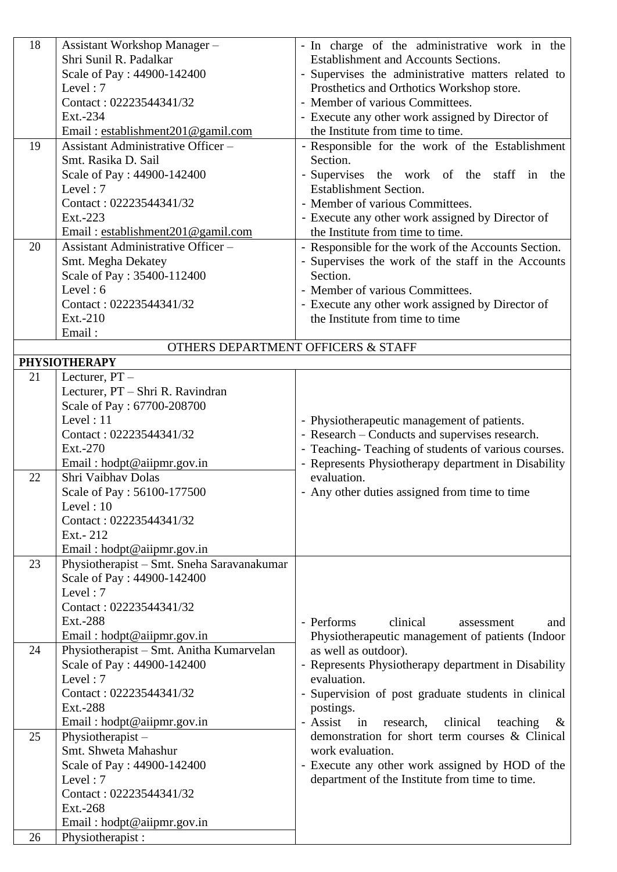| 18 | Assistant Workshop Manager-                | - In charge of the administrative work in the                            |
|----|--------------------------------------------|--------------------------------------------------------------------------|
|    | Shri Sunil R. Padalkar                     | Establishment and Accounts Sections.                                     |
|    | Scale of Pay: 44900-142400                 | - Supervises the administrative matters related to                       |
|    | Level: $7$                                 | Prosthetics and Orthotics Workshop store.                                |
|    | Contact: 02223544341/32                    | - Member of various Committees.                                          |
|    | Ext.-234                                   | - Execute any other work assigned by Director of                         |
|    | Email: establishment201@gamil.com          | the Institute from time to time.                                         |
| 19 | Assistant Administrative Officer -         | - Responsible for the work of the Establishment                          |
|    | Smt. Rasika D. Sail                        | Section.                                                                 |
|    | Scale of Pay: 44900-142400                 | - Supervises the work of the staff in the                                |
|    | Level: $7$                                 | <b>Establishment Section.</b>                                            |
|    | Contact: 02223544341/32                    | - Member of various Committees.                                          |
|    | Ext.-223                                   | - Execute any other work assigned by Director of                         |
|    | Email: establishment201@gamil.com          | the Institute from time to time.                                         |
| 20 | Assistant Administrative Officer -         | - Responsible for the work of the Accounts Section.                      |
|    | Smt. Megha Dekatey                         | - Supervises the work of the staff in the Accounts                       |
|    | Scale of Pay: 35400-112400                 | Section.                                                                 |
|    | Level: $6$                                 | - Member of various Committees.                                          |
|    | Contact: 02223544341/32                    | - Execute any other work assigned by Director of                         |
|    | Ext.-210                                   | the Institute from time to time                                          |
|    | Email:                                     |                                                                          |
|    | OTHERS DEPARTMENT OFFICERS & STAFF         |                                                                          |
|    | <b>PHYSIOTHERAPY</b>                       |                                                                          |
| 21 | Lecturer, PT-                              |                                                                          |
|    | Lecturer, PT - Shri R. Ravindran           |                                                                          |
|    | Scale of Pay: 67700-208700                 |                                                                          |
|    | Level: $11$                                | - Physiotherapeutic management of patients.                              |
|    | Contact: 02223544341/32                    | - Research - Conducts and supervises research.                           |
|    | Ext.-270                                   | - Teaching-Teaching of students of various courses.                      |
|    | Email: hodpt@aiipmr.gov.in                 | - Represents Physiotherapy department in Disability                      |
| 22 | Shri Vaibhav Dolas                         | evaluation.                                                              |
|    | Scale of Pay: 56100-177500                 | - Any other duties assigned from time to time                            |
|    | Level: $10$                                |                                                                          |
|    | Contact: 02223544341/32                    |                                                                          |
|    | Ext.-212                                   |                                                                          |
|    | Email: hodpt@aiipmr.gov.in                 |                                                                          |
| 23 | Physiotherapist – Smt. Sneha Saravanakumar |                                                                          |
|    | Scale of Pay: 44900-142400<br>Level: $7$   |                                                                          |
|    |                                            |                                                                          |
|    | Contact: 02223544341/32<br>Ext.-288        |                                                                          |
|    | Email: hodpt@aiipmr.gov.in                 | - Performs<br>clinical<br>assessment<br>and                              |
| 24 | Physiotherapist - Smt. Anitha Kumarvelan   | Physiotherapeutic management of patients (Indoor<br>as well as outdoor). |
|    | Scale of Pay: 44900-142400                 | - Represents Physiotherapy department in Disability                      |
|    | Level: $7$                                 | evaluation.                                                              |
|    | Contact: 02223544341/32                    | - Supervision of post graduate students in clinical                      |
|    | Ext.-288                                   | postings.                                                                |
|    | Email: hodpt@aiipmr.gov.in                 | - Assist<br>clinical<br>research,<br>teaching<br>in<br>&                 |
| 25 | Physiotherapist-                           | demonstration for short term courses & Clinical                          |
|    | Smt. Shweta Mahashur                       | work evaluation.                                                         |
|    | Scale of Pay: 44900-142400                 | - Execute any other work assigned by HOD of the                          |
|    | Level: $7$                                 | department of the Institute from time to time.                           |
|    | Contact: 02223544341/32                    |                                                                          |
|    | Ext.-268                                   |                                                                          |
|    | Email: hodpt@aiipmr.gov.in                 |                                                                          |
| 26 | Physiotherapist:                           |                                                                          |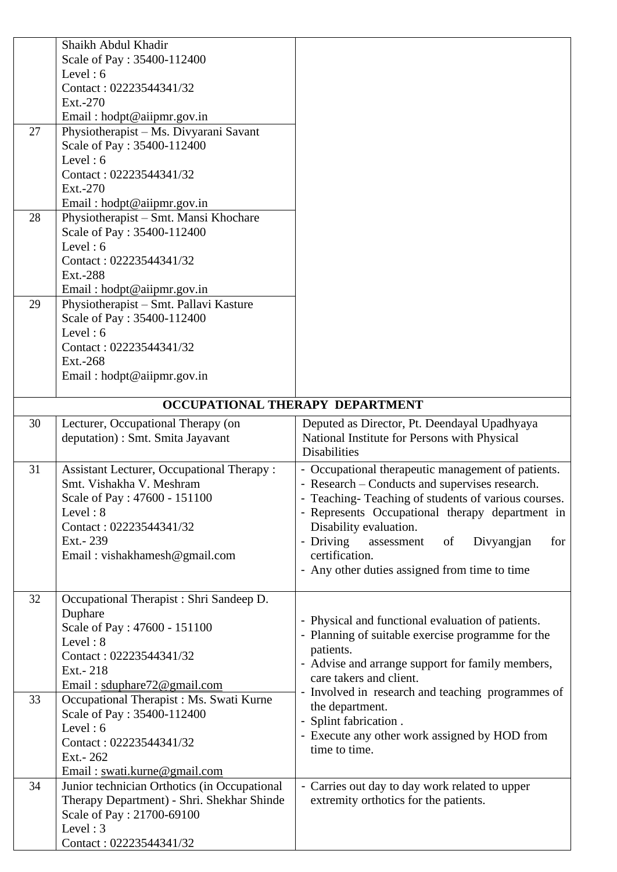|    | Shaikh Abdul Khadir                              |                                                                                         |
|----|--------------------------------------------------|-----------------------------------------------------------------------------------------|
|    | Scale of Pay: 35400-112400                       |                                                                                         |
|    | Level: $6$                                       |                                                                                         |
|    | Contact: 02223544341/32                          |                                                                                         |
|    | Ext.-270                                         |                                                                                         |
|    | Email: hodpt@aiipmr.gov.in                       |                                                                                         |
| 27 | Physiotherapist - Ms. Divyarani Savant           |                                                                                         |
|    | Scale of Pay: 35400-112400                       |                                                                                         |
|    | Level: $6$                                       |                                                                                         |
|    | Contact: 02223544341/32                          |                                                                                         |
|    | Ext.-270                                         |                                                                                         |
|    | Email: hodpt@aiipmr.gov.in                       |                                                                                         |
| 28 | Physiotherapist - Smt. Mansi Khochare            |                                                                                         |
|    | Scale of Pay: 35400-112400                       |                                                                                         |
|    | Level: $6$                                       |                                                                                         |
|    | Contact: 02223544341/32                          |                                                                                         |
|    | Ext.-288                                         |                                                                                         |
|    | Email: hodpt@aiipmr.gov.in                       |                                                                                         |
| 29 | Physiotherapist - Smt. Pallavi Kasture           |                                                                                         |
|    | Scale of Pay: 35400-112400                       |                                                                                         |
|    | Level: $6$                                       |                                                                                         |
|    | Contact: 02223544341/32                          |                                                                                         |
|    | Ext.-268                                         |                                                                                         |
|    | Email: $h$ odpt@aiipmr.gov.in                    |                                                                                         |
|    |                                                  | OCCUPATIONAL THERAPY DEPARTMENT                                                         |
|    |                                                  |                                                                                         |
| 30 | Lecturer, Occupational Therapy (on               | Deputed as Director, Pt. Deendayal Upadhyaya                                            |
|    | deputation) : Smt. Smita Jayavant                | National Institute for Persons with Physical                                            |
|    |                                                  | <b>Disabilities</b>                                                                     |
| 31 | <b>Assistant Lecturer, Occupational Therapy:</b> | - Occupational therapeutic management of patients.                                      |
|    | Smt. Vishakha V. Meshram                         | - Research – Conducts and supervises research.                                          |
|    | Scale of Pay: 47600 - 151100                     | Teaching-Teaching of students of various courses.                                       |
|    | Level:8                                          | - Represents Occupational therapy department in                                         |
|    | Contact: 02223544341/32                          | Disability evaluation.                                                                  |
|    | Ext. - 239                                       | - Driving<br>Divyangjan<br>assessment<br>of<br>for                                      |
|    | Email: vishakhamesh@gmail.com                    | certification.                                                                          |
|    |                                                  | - Any other duties assigned from time to time                                           |
| 32 | Occupational Therapist: Shri Sandeep D.          |                                                                                         |
|    | Duphare                                          |                                                                                         |
|    | Scale of Pay: 47600 - 151100                     | - Physical and functional evaluation of patients.                                       |
|    | Level: 8                                         | - Planning of suitable exercise programme for the                                       |
|    |                                                  | patients.                                                                               |
|    |                                                  |                                                                                         |
|    | Contact: 02223544341/32                          | - Advise and arrange support for family members,                                        |
|    | Ext.- 218                                        | care takers and client.                                                                 |
|    | Email: sduphare72@gmail.com                      | - Involved in research and teaching programmes of                                       |
| 33 | Occupational Therapist: Ms. Swati Kurne          | the department.                                                                         |
|    | Scale of Pay: 35400-112400<br>Level: $6$         | - Splint fabrication.                                                                   |
|    |                                                  | - Execute any other work assigned by HOD from                                           |
|    | Contact: 02223544341/32<br>Ext.- 262             | time to time.                                                                           |
|    | Email: swati.kurne@gmail.com                     |                                                                                         |
| 34 |                                                  |                                                                                         |
|    | Junior technician Orthotics (in Occupational     | - Carries out day to day work related to upper<br>extremity orthotics for the patients. |
|    | Therapy Department) - Shri. Shekhar Shinde       |                                                                                         |
|    | Scale of Pay: 21700-69100<br>Level: $3$          |                                                                                         |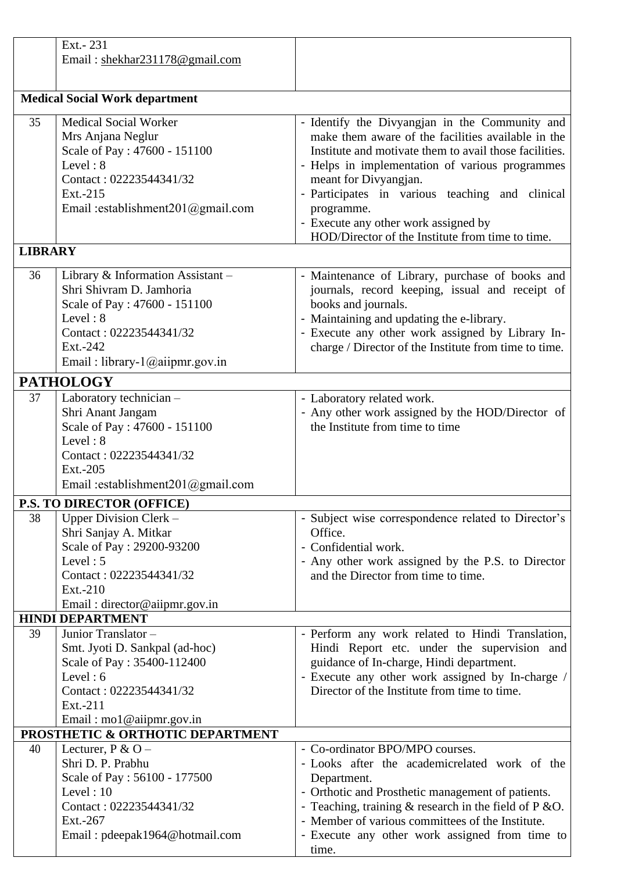|                | Ext. - 231                             |                                                            |
|----------------|----------------------------------------|------------------------------------------------------------|
|                | Email: shekhar231178@gmail.com         |                                                            |
|                |                                        |                                                            |
|                |                                        |                                                            |
|                | <b>Medical Social Work department</b>  |                                                            |
| 35             | <b>Medical Social Worker</b>           | - Identify the Divyangjan in the Community and             |
|                | Mrs Anjana Neglur                      | make them aware of the facilities available in the         |
|                | Scale of Pay: 47600 - 151100           | Institute and motivate them to avail those facilities.     |
|                | Level: $8$                             | - Helps in implementation of various programmes            |
|                | Contact: 02223544341/32                | meant for Divyangjan.                                      |
|                | Ext.-215                               | - Participates in various teaching and clinical            |
|                | Email:establishment201@gmail.com       | programme.                                                 |
|                |                                        | - Execute any other work assigned by                       |
|                |                                        | HOD/Director of the Institute from time to time.           |
| <b>LIBRARY</b> |                                        |                                                            |
| 36             | Library & Information Assistant -      | - Maintenance of Library, purchase of books and            |
|                | Shri Shivram D. Jamhoria               | journals, record keeping, issual and receipt of            |
|                | Scale of Pay: 47600 - 151100           | books and journals.                                        |
|                | Level: $8$                             | - Maintaining and updating the e-library.                  |
|                | Contact: 02223544341/32                | - Execute any other work assigned by Library In-           |
|                | Ext.-242                               | charge / Director of the Institute from time to time.      |
|                | Email: library-1@aiipmr.gov.in         |                                                            |
|                | <b>PATHOLOGY</b>                       |                                                            |
| 37             | Laboratory technician -                | - Laboratory related work.                                 |
|                | Shri Anant Jangam                      | - Any other work assigned by the HOD/Director of           |
|                | Scale of Pay: 47600 - 151100           | the Institute from time to time                            |
|                | Level: $8$                             |                                                            |
|                | Contact: 02223544341/32                |                                                            |
|                | Ext.-205                               |                                                            |
|                | Email: establishment $201$ @ gmail.com |                                                            |
|                | P.S. TO DIRECTOR (OFFICE)              |                                                            |
| 38             | Upper Division Clerk –                 | - Subject wise correspondence related to Director's        |
|                | Shri Sanjay A. Mitkar                  | Office.                                                    |
|                | Scale of Pay: 29200-93200              | - Confidential work.                                       |
|                | Level: $5$                             | - Any other work assigned by the P.S. to Director          |
|                | Contact: 02223544341/32                | and the Director from time to time.                        |
|                | Ext.-210                               |                                                            |
|                | Email: director@aiipmr.gov.in          |                                                            |
|                | <b>HINDI DEPARTMENT</b>                |                                                            |
| 39             | Junior Translator-                     | - Perform any work related to Hindi Translation,           |
|                | Smt. Jyoti D. Sankpal (ad-hoc)         | Hindi Report etc. under the supervision and                |
|                | Scale of Pay: 35400-112400             | guidance of In-charge, Hindi department.                   |
|                | Level: $6$                             | - Execute any other work assigned by In-charge /           |
|                | Contact: 02223544341/32                | Director of the Institute from time to time.               |
|                | Ext.-211                               |                                                            |
|                | Email: mo1@aiipmr.gov.in               |                                                            |
|                | PROSTHETIC & ORTHOTIC DEPARTMENT       |                                                            |
| 40             | Lecturer, $P & O -$                    | - Co-ordinator BPO/MPO courses.                            |
|                | Shri D. P. Prabhu                      | - Looks after the academicrelated work of the              |
|                | Scale of Pay: 56100 - 177500           | Department.                                                |
|                | Level: $10$                            | - Orthotic and Prosthetic management of patients.          |
|                | Contact: 02223544341/32                | - Teaching, training $&$ research in the field of P $&$ O. |
|                | Ext.-267                               | - Member of various committees of the Institute.           |
|                | Email: pdeepak1964@hotmail.com         | - Execute any other work assigned from time to             |
|                |                                        | time.                                                      |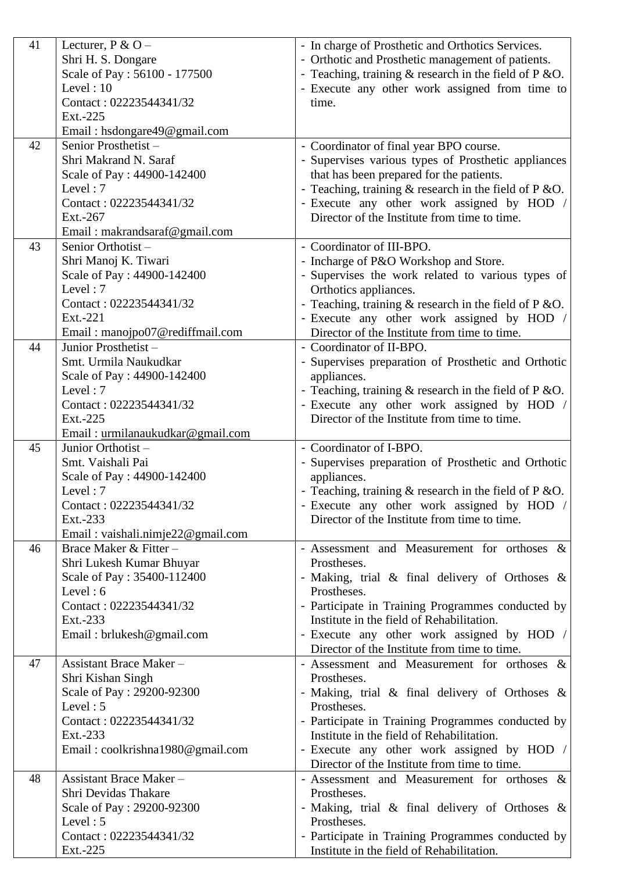| 41 | Lecturer, $P & O -$               | - In charge of Prosthetic and Orthotics Services.          |
|----|-----------------------------------|------------------------------------------------------------|
|    | Shri H. S. Dongare                | - Orthotic and Prosthetic management of patients.          |
|    | Scale of Pay: 56100 - 177500      |                                                            |
|    |                                   | - Teaching, training $&$ research in the field of P $&$ O. |
|    | Level: $10$                       | - Execute any other work assigned from time to             |
|    | Contact: 02223544341/32           | time.                                                      |
|    | Ext.-225                          |                                                            |
|    | Email: hsdongare49@gmail.com      |                                                            |
| 42 | Senior Prosthetist-               | - Coordinator of final year BPO course.                    |
|    | Shri Makrand N. Saraf             | - Supervises various types of Prosthetic appliances        |
|    | Scale of Pay: 44900-142400        | that has been prepared for the patients.                   |
|    | Level: $7$                        | - Teaching, training $&$ research in the field of P $&$ O. |
|    | Contact: 02223544341/32           | - Execute any other work assigned by HOD                   |
|    | Ext.-267                          | Director of the Institute from time to time.               |
|    | Email: makrandsaraf@gmail.com     |                                                            |
|    | Senior Orthotist-                 |                                                            |
| 43 |                                   | - Coordinator of III-BPO.                                  |
|    | Shri Manoj K. Tiwari              | - Incharge of P&O Workshop and Store.                      |
|    | Scale of Pay: 44900-142400        | - Supervises the work related to various types of          |
|    | Level: 7                          | Orthotics appliances.                                      |
|    | Contact: 02223544341/32           | - Teaching, training $&$ research in the field of P $&$ O. |
|    | Ext.-221                          | - Execute any other work assigned by HOD /                 |
|    | Email: manojpo07@rediffmail.com   | Director of the Institute from time to time.               |
| 44 | Junior Prosthetist-               | - Coordinator of II-BPO.                                   |
|    | Smt. Urmila Naukudkar             | - Supervises preparation of Prosthetic and Orthotic        |
|    | Scale of Pay: 44900-142400        | appliances.                                                |
|    | Level: 7                          | - Teaching, training $&$ research in the field of P $&$ O. |
|    | Contact: 02223544341/32           | - Execute any other work assigned by HOD                   |
|    | Ext.-225                          | Director of the Institute from time to time.               |
|    | Email: urmilanaukudkar@gmail.com  |                                                            |
| 45 | Junior Orthotist-                 | - Coordinator of I-BPO.                                    |
|    | Smt. Vaishali Pai                 |                                                            |
|    |                                   | - Supervises preparation of Prosthetic and Orthotic        |
|    | Scale of Pay: 44900-142400        | appliances.                                                |
|    | Level: $7$                        | - Teaching, training $&$ research in the field of P $&$ O. |
|    | Contact: 02223544341/32           | - Execute any other work assigned by HOD /                 |
|    | Ext.-233                          | Director of the Institute from time to time.               |
|    | Email: vaishali.nimje22@gmail.com |                                                            |
| 46 | Brace Maker & Fitter -            | - Assessment and Measurement for orthoses &                |
|    | Shri Lukesh Kumar Bhuyar          | Prostheses.                                                |
|    | Scale of Pay: 35400-112400        | - Making, trial & final delivery of Orthoses &             |
|    | Level: $6$                        | Prostheses.                                                |
|    | Contact: 02223544341/32           | - Participate in Training Programmes conducted by          |
|    | Ext.-233                          | Institute in the field of Rehabilitation.                  |
|    | Email: brlukesh@gmail.com         | - Execute any other work assigned by HOD /                 |
|    |                                   | Director of the Institute from time to time.               |
| 47 | Assistant Brace Maker-            | - Assessment and Measurement for orthoses &                |
|    | Shri Kishan Singh                 | Prostheses.                                                |
|    | Scale of Pay: 29200-92300         | - Making, trial $\&$ final delivery of Orthoses $\&$       |
|    | Level: $5$                        | Prostheses.                                                |
|    | Contact: 02223544341/32           | - Participate in Training Programmes conducted by          |
|    | Ext.-233                          | Institute in the field of Rehabilitation.                  |
|    |                                   |                                                            |
|    | Email: coolkrishna1980@gmail.com  | - Execute any other work assigned by HOD /                 |
|    |                                   | Director of the Institute from time to time.               |
| 48 | Assistant Brace Maker-            | - Assessment and Measurement for orthoses &                |
|    | Shri Devidas Thakare              | Prostheses.                                                |
|    | Scale of Pay: 29200-92300         | - Making, trial & final delivery of Orthoses &             |
|    | Level: $5$                        | Prostheses.                                                |
|    | Contact: 02223544341/32           | - Participate in Training Programmes conducted by          |
|    | Ext.-225                          | Institute in the field of Rehabilitation.                  |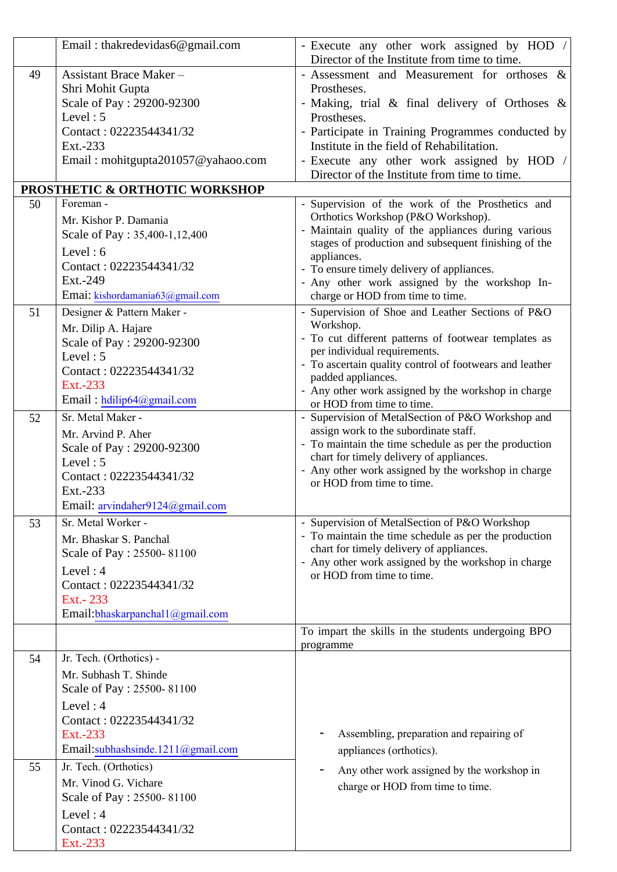|    | Email: thakredevidas6@gmail.com    | - Execute any other work assigned by HOD /<br>Director of the Institute from time to time.      |
|----|------------------------------------|-------------------------------------------------------------------------------------------------|
| 49 | <b>Assistant Brace Maker -</b>     | - Assessment and Measurement for orthoses &                                                     |
|    | Shri Mohit Gupta                   | Prostheses.                                                                                     |
|    | Scale of Pay: 29200-92300          | - Making, trial & final delivery of Orthoses &                                                  |
|    | Level: $5$                         | Prostheses.                                                                                     |
|    | Contact: 02223544341/32            | - Participate in Training Programmes conducted by                                               |
|    | Ext.-233                           | Institute in the field of Rehabilitation.                                                       |
|    | Email: mohitgupta201057@yahaoo.com | - Execute any other work assigned by HOD /                                                      |
|    |                                    | Director of the Institute from time to time.                                                    |
|    | PROSTHETIC & ORTHOTIC WORKSHOP     |                                                                                                 |
| 50 | Foreman -                          | - Supervision of the work of the Prosthetics and                                                |
|    | Mr. Kishor P. Damania              | Orthotics Workshop (P&O Workshop).<br>- Maintain quality of the appliances during various       |
|    | Scale of Pay: 35,400-1,12,400      | stages of production and subsequent finishing of the                                            |
|    | Level: $6$                         | appliances.                                                                                     |
|    | Contact: 02223544341/32            | - To ensure timely delivery of appliances.                                                      |
|    | Ext.-249                           | - Any other work assigned by the workshop In-                                                   |
|    | Emai: kishordamania63@gmail.com    | charge or HOD from time to time.                                                                |
| 51 | Designer & Pattern Maker -         | - Supervision of Shoe and Leather Sections of P&O                                               |
|    | Mr. Dilip A. Hajare                | Workshop.<br>- To cut different patterns of footwear templates as                               |
|    | Scale of Pay: 29200-92300          | per individual requirements.                                                                    |
|    | Level: $5$                         | - To ascertain quality control of footwears and leather                                         |
|    | Contact: 02223544341/32            | padded appliances.                                                                              |
|    | Ext.-233                           | - Any other work assigned by the workshop in charge                                             |
|    | Email: hdilip64@gmail.com          | or HOD from time to time.                                                                       |
| 52 | Sr. Metal Maker -                  | - Supervision of MetalSection of P&O Workshop and                                               |
|    | Mr. Arvind P. Aher                 | assign work to the subordinate staff.                                                           |
|    | Scale of Pay: 29200-92300          | - To maintain the time schedule as per the production                                           |
|    | Level: $5$                         | chart for timely delivery of appliances.<br>- Any other work assigned by the workshop in charge |
|    | Contact: 02223544341/32            | or HOD from time to time.                                                                       |
|    | Ext.-233                           |                                                                                                 |
|    | Email: arvindaher9124@gmail.com    |                                                                                                 |
| 53 | Sr. Metal Worker -                 | - Supervision of MetalSection of P&O Workshop                                                   |
|    | Mr. Bhaskar S. Panchal             | - To maintain the time schedule as per the production                                           |
|    | Scale of Pay: 25500-81100          | chart for timely delivery of appliances.<br>- Any other work assigned by the workshop in charge |
|    | Level: $4$                         | or HOD from time to time.                                                                       |
|    | Contact: 02223544341/32            |                                                                                                 |
|    | Ext. - 233                         |                                                                                                 |
|    | Email:bhaskarpanchall@gmail.com    |                                                                                                 |
|    |                                    | To impart the skills in the students undergoing BPO<br>programme                                |
| 54 | Jr. Tech. (Orthotics) -            |                                                                                                 |
|    | Mr. Subhash T. Shinde              |                                                                                                 |
|    | Scale of Pay : 25500-81100         |                                                                                                 |
|    | Level: $4$                         |                                                                                                 |
|    | Contact: 02223544341/32            |                                                                                                 |
|    | Ext.-233                           | Assembling, preparation and repairing of                                                        |
|    | Email:subhashsinde.1211@gmail.com  |                                                                                                 |
|    |                                    | appliances (orthotics).                                                                         |
| 55 | Jr. Tech. (Orthotics)              | Any other work assigned by the workshop in                                                      |
|    | Mr. Vinod G. Vichare               | charge or HOD from time to time.                                                                |
|    | Scale of Pay : 25500-81100         |                                                                                                 |
|    | Level: $4$                         |                                                                                                 |
|    | Contact: 02223544341/32            |                                                                                                 |
|    | Ext.-233                           |                                                                                                 |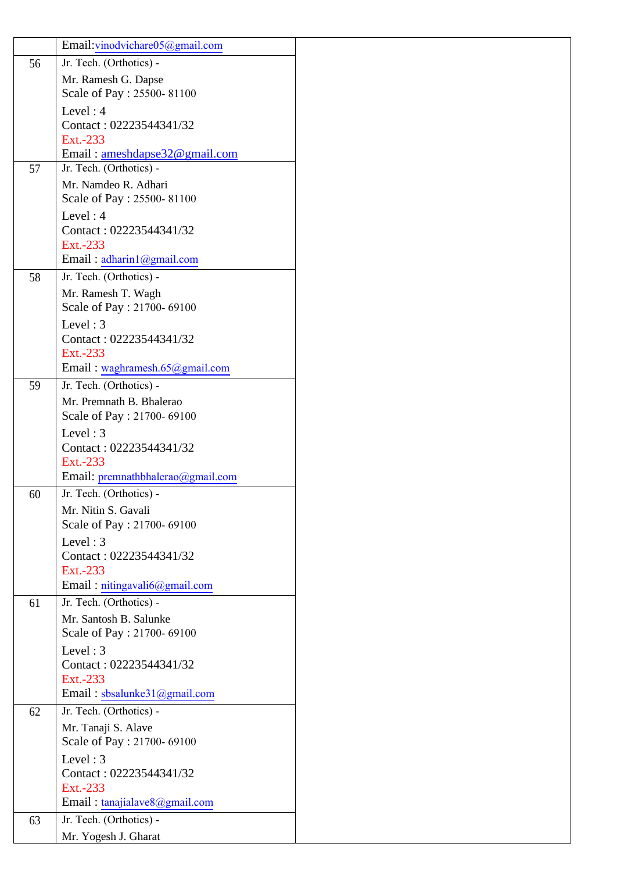|    | Email:vinodvichare05@gmail.com      |
|----|-------------------------------------|
| 56 | Jr. Tech. (Orthotics) -             |
|    | Mr. Ramesh G. Dapse                 |
|    | Scale of Pay: 25500-81100           |
|    | Level: $4$                          |
|    | Contact: 02223544341/32             |
|    | Ext.-233                            |
|    | Email: ameshdapse32@gmail.com       |
| 57 | Jr. Tech. (Orthotics) -             |
|    | Mr. Namdeo R. Adhari                |
|    | Scale of Pay: 25500-81100           |
|    | Level: $4$                          |
|    | Contact: 02223544341/32<br>Ext.-233 |
|    | Email: adharin1@gmail.com           |
| 58 | Jr. Tech. (Orthotics) -             |
|    | Mr. Ramesh T. Wagh                  |
|    | Scale of Pay: 21700-69100           |
|    | Level: $3$                          |
|    | Contact: 02223544341/32             |
|    | Ext.-233                            |
|    | Email: waghramesh.65@gmail.com      |
| 59 | Jr. Tech. (Orthotics) -             |
|    | Mr. Premnath B. Bhalerao            |
|    | Scale of Pay: 21700-69100           |
|    | Level: $3$                          |
|    | Contact: 02223544341/32             |
|    | Ext.-233                            |
|    | Email: premnathbhalerao@gmail.com   |
| 60 | Jr. Tech. (Orthotics) -             |
|    | Mr. Nitin S. Gavali                 |
|    | Scale of Pay: 21700-69100           |
|    | Level: $3$                          |
|    | Contact: 02223544341/32<br>Ext.-233 |
|    | Email: nitingavali6@gmail.com       |
| 61 | Jr. Tech. (Orthotics) -             |
|    | Mr. Santosh B. Salunke              |
|    | Scale of Pay: 21700-69100           |
|    | Level: $3$                          |
|    | Contact: 02223544341/32             |
|    | Ext.-233                            |
|    | Email: sbsalunke31@gmail.com        |
| 62 | Jr. Tech. (Orthotics) -             |
|    | Mr. Tanaji S. Alave                 |
|    | Scale of Pay: 21700-69100           |
|    | Level: $3$                          |
|    | Contact: 02223544341/32             |
|    | Ext.-233                            |
|    | Email: tanajialave8@gmail.com       |
| 63 | Jr. Tech. (Orthotics) -             |
|    | Mr. Yogesh J. Gharat                |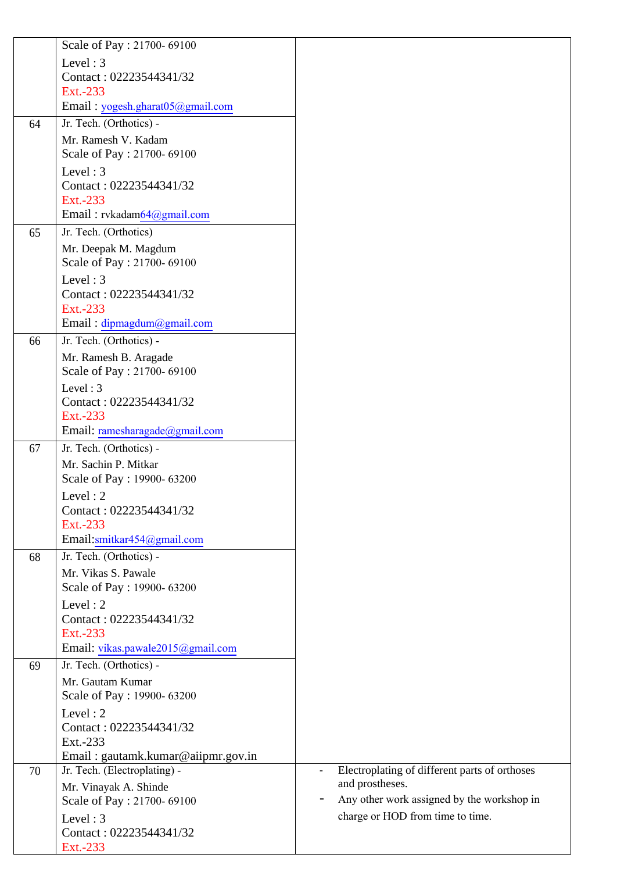|    | Scale of Pay: 21700-69100           |                                                                 |
|----|-------------------------------------|-----------------------------------------------------------------|
|    | Level: $3$                          |                                                                 |
|    | Contact: 02223544341/32             |                                                                 |
|    | Ext.-233                            |                                                                 |
|    | Email: yogesh.gharat05@gmail.com    |                                                                 |
| 64 | Jr. Tech. (Orthotics) -             |                                                                 |
|    | Mr. Ramesh V. Kadam                 |                                                                 |
|    | Scale of Pay: 21700-69100           |                                                                 |
|    | Level: $3$                          |                                                                 |
|    | Contact: 02223544341/32             |                                                                 |
|    | Ext.-233                            |                                                                 |
|    | Email: rvkadam64@gmail.com          |                                                                 |
| 65 | Jr. Tech. (Orthotics)               |                                                                 |
|    | Mr. Deepak M. Magdum                |                                                                 |
|    | Scale of Pay: 21700-69100           |                                                                 |
|    | Level: $3$                          |                                                                 |
|    | Contact: 02223544341/32             |                                                                 |
|    | Ext.-233                            |                                                                 |
|    | Email: dipmagdum@gmail.com          |                                                                 |
| 66 | Jr. Tech. (Orthotics) -             |                                                                 |
|    | Mr. Ramesh B. Aragade               |                                                                 |
|    | Scale of Pay: 21700-69100           |                                                                 |
|    | Level: $3$                          |                                                                 |
|    | Contact: 02223544341/32             |                                                                 |
|    | Ext.-233                            |                                                                 |
|    | Email: ramesharagade@gmail.com      |                                                                 |
| 67 | Jr. Tech. (Orthotics) -             |                                                                 |
|    | Mr. Sachin P. Mitkar                |                                                                 |
|    | Scale of Pay: 19900-63200           |                                                                 |
|    | Level: $2$                          |                                                                 |
|    | Contact: 02223544341/32<br>Ext.-233 |                                                                 |
|    | Email:smitkar454@gmail.com          |                                                                 |
| 68 | Jr. Tech. (Orthotics) -             |                                                                 |
|    | Mr. Vikas S. Pawale                 |                                                                 |
|    | Scale of Pay: 19900-63200           |                                                                 |
|    | Level: $2$                          |                                                                 |
|    | Contact: 02223544341/32             |                                                                 |
|    | Ext.-233                            |                                                                 |
|    | Email: vikas.pawale2015@gmail.com   |                                                                 |
| 69 | Jr. Tech. (Orthotics) -             |                                                                 |
|    | Mr. Gautam Kumar                    |                                                                 |
|    | Scale of Pay: 19900-63200           |                                                                 |
|    | Level: $2$                          |                                                                 |
|    | Contact: 02223544341/32             |                                                                 |
|    | Ext.-233                            |                                                                 |
|    | Email: gautamk.kumar@aiipmr.gov.in  |                                                                 |
| 70 | Jr. Tech. (Electroplating) -        | Electroplating of different parts of orthoses<br>$\blacksquare$ |
|    | Mr. Vinayak A. Shinde               | and prostheses.                                                 |
|    | Scale of Pay : 21700-69100          | Any other work assigned by the workshop in                      |
|    | Level: $3$                          | charge or HOD from time to time.                                |
|    | Contact: 02223544341/32             |                                                                 |
|    | Ext.-233                            |                                                                 |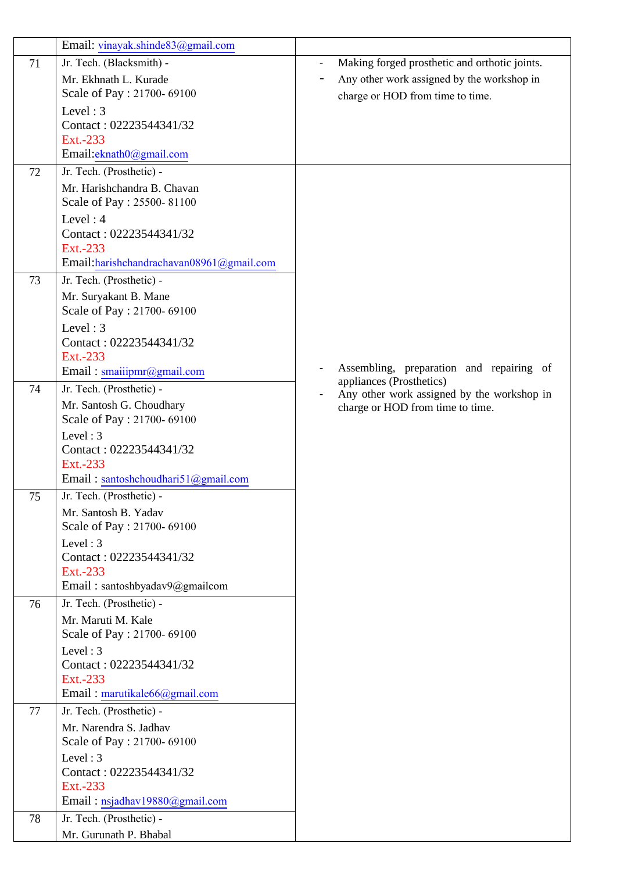|    | Email: vinayak.shinde83@gmail.com               |                                                                      |
|----|-------------------------------------------------|----------------------------------------------------------------------|
| 71 | Jr. Tech. (Blacksmith) -                        | Making forged prosthetic and orthotic joints.                        |
|    | Mr. Ekhnath L. Kurade                           | Any other work assigned by the workshop in                           |
|    | Scale of Pay: 21700-69100                       | charge or HOD from time to time.                                     |
|    | Level: $3$                                      |                                                                      |
|    | Contact: 02223544341/32                         |                                                                      |
|    | Ext.-233                                        |                                                                      |
|    | Email: $eknath0$ (@gmail.com                    |                                                                      |
| 72 | Jr. Tech. (Prosthetic) -                        |                                                                      |
|    | Mr. Harishchandra B. Chavan                     |                                                                      |
|    | Scale of Pay: 25500-81100                       |                                                                      |
|    | Level: $4$                                      |                                                                      |
|    | Contact: 02223544341/32<br>Ext.-233             |                                                                      |
|    | Email: harishchandrachavan08961@gmail.com       |                                                                      |
| 73 | Jr. Tech. (Prosthetic) -                        |                                                                      |
|    | Mr. Suryakant B. Mane                           |                                                                      |
|    | Scale of Pay: 21700-69100                       |                                                                      |
|    | Level: $3$                                      |                                                                      |
|    | Contact: 02223544341/32                         |                                                                      |
|    | Ext.-233                                        |                                                                      |
|    | Email: smaiiipmr@gmail.com                      | Assembling, preparation and repairing of<br>appliances (Prosthetics) |
| 74 | Jr. Tech. (Prosthetic) -                        | Any other work assigned by the workshop in                           |
|    | Mr. Santosh G. Choudhary                        | charge or HOD from time to time.                                     |
|    | Scale of Pay: 21700-69100                       |                                                                      |
|    | Level: $3$                                      |                                                                      |
|    | Contact: 02223544341/32<br>Ext.-233             |                                                                      |
|    | Email: santoshchoudhari51@gmail.com             |                                                                      |
| 75 | Jr. Tech. (Prosthetic) -                        |                                                                      |
|    | Mr. Santosh B. Yadav                            |                                                                      |
|    | Scale of Pay: 21700-69100                       |                                                                      |
|    | Level: $3$                                      |                                                                      |
|    | Contact: 02223544341/32                         |                                                                      |
|    | Ext.-233                                        |                                                                      |
|    | Email: santoshbyadav $9$ @gmailcom              |                                                                      |
| 76 | Jr. Tech. (Prosthetic) -                        |                                                                      |
|    | Mr. Maruti M. Kale<br>Scale of Pay: 21700-69100 |                                                                      |
|    | Level: $3$                                      |                                                                      |
|    | Contact: 02223544341/32                         |                                                                      |
|    | Ext.-233                                        |                                                                      |
|    | Email: marutikale66@gmail.com                   |                                                                      |
| 77 | Jr. Tech. (Prosthetic) -                        |                                                                      |
|    | Mr. Narendra S. Jadhav                          |                                                                      |
|    | Scale of Pay: 21700-69100                       |                                                                      |
|    | Level: $3$                                      |                                                                      |
|    | Contact: 02223544341/32<br>Ext.-233             |                                                                      |
|    | Email: nsjadhav19880@gmail.com                  |                                                                      |
| 78 | Jr. Tech. (Prosthetic) -                        |                                                                      |
|    | Mr. Gurunath P. Bhabal                          |                                                                      |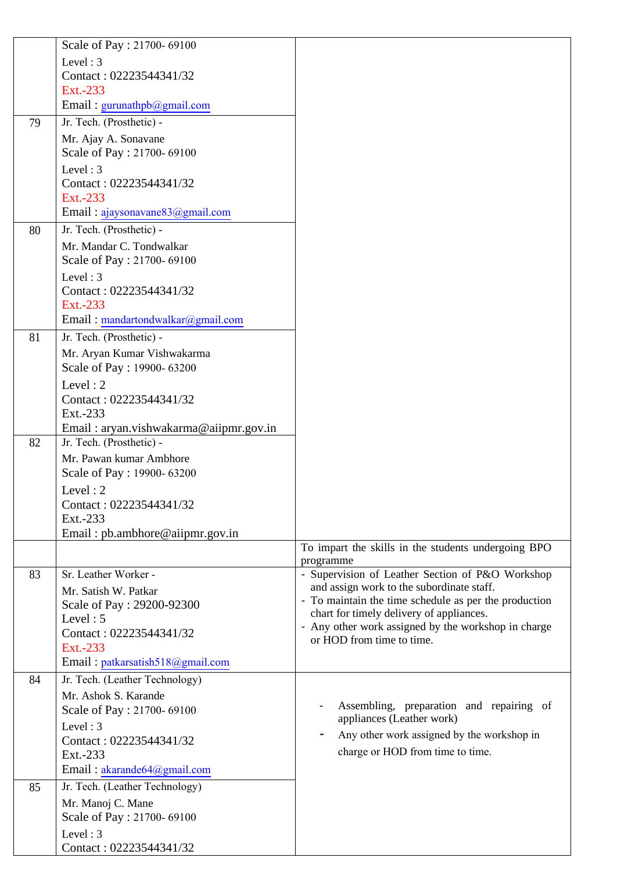|    | Scale of Pay: 21700-69100<br>Level: $3$<br>Contact: 02223544341/32<br>Ext.-233<br>Email: $gurunathpb@gmail.com$                                                                   |                                                                                                                                                                                                                                                                                        |
|----|-----------------------------------------------------------------------------------------------------------------------------------------------------------------------------------|----------------------------------------------------------------------------------------------------------------------------------------------------------------------------------------------------------------------------------------------------------------------------------------|
| 79 | Jr. Tech. (Prosthetic) -<br>Mr. Ajay A. Sonavane<br>Scale of Pay : 21700-69100<br>Level: 3<br>Contact: 02223544341/32<br>Ext.-233<br>Email: ajaysonavane83@gmail.com              |                                                                                                                                                                                                                                                                                        |
| 80 | Jr. Tech. (Prosthetic) -<br>Mr. Mandar C. Tondwalkar<br>Scale of Pay: 21700-69100<br>Level: $3$<br>Contact: 02223544341/32<br>Ext.-233<br>Email: mandartondwalkar@gmail.com       |                                                                                                                                                                                                                                                                                        |
| 81 | Jr. Tech. (Prosthetic) -<br>Mr. Aryan Kumar Vishwakarma<br>Scale of Pay: 19900-63200<br>Level: 2<br>Contact: 02223544341/32<br>Ext.-233<br>Email: aryan.vishwakarma@aiipmr.gov.in |                                                                                                                                                                                                                                                                                        |
| 82 | Jr. Tech. (Prosthetic) -<br>Mr. Pawan kumar Ambhore<br>Scale of Pay: 19900-63200<br>Level: 2<br>Contact: 02223544341/32<br>Ext.-233<br>Email: pb.ambhore@aiipmr.gov.in            |                                                                                                                                                                                                                                                                                        |
|    |                                                                                                                                                                                   | To impart the skills in the students undergoing BPO<br>programme                                                                                                                                                                                                                       |
| 83 | Sr. Leather Worker -<br>Mr. Satish W. Patkar<br>Scale of Pay: 29200-92300<br>Level: $5$<br>Contact: 02223544341/32<br>Ext.-233<br>Email: patkarsatish518@gmail.com                | - Supervision of Leather Section of P&O Workshop<br>and assign work to the subordinate staff.<br>- To maintain the time schedule as per the production<br>chart for timely delivery of appliances.<br>- Any other work assigned by the workshop in charge<br>or HOD from time to time. |
| 84 | Jr. Tech. (Leather Technology)<br>Mr. Ashok S. Karande<br>Scale of Pay: 21700-69100<br>Level: $3$<br>Contact: 02223544341/32<br>Ext.-233<br>Email: $akarande 64$ (@gmail.com      | Assembling, preparation and repairing of<br>appliances (Leather work)<br>Any other work assigned by the workshop in<br>charge or HOD from time to time.                                                                                                                                |
| 85 | Jr. Tech. (Leather Technology)<br>Mr. Manoj C. Mane<br>Scale of Pay: 21700-69100<br>Level: $3$<br>Contact: 02223544341/32                                                         |                                                                                                                                                                                                                                                                                        |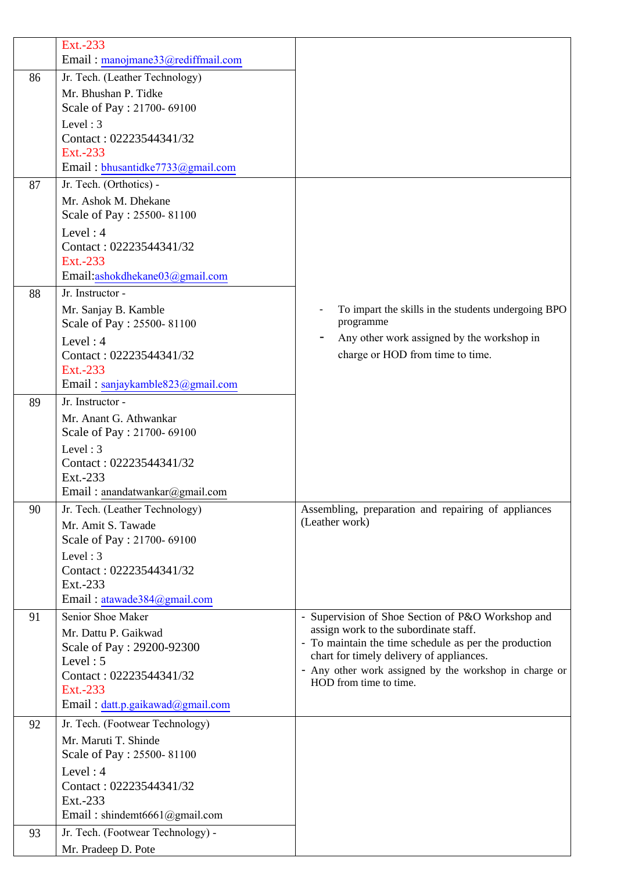|    | Ext.-233                            |                                                                                  |
|----|-------------------------------------|----------------------------------------------------------------------------------|
|    | Email: manojmane33@rediffmail.com   |                                                                                  |
| 86 | Jr. Tech. (Leather Technology)      |                                                                                  |
|    | Mr. Bhushan P. Tidke                |                                                                                  |
|    | Scale of Pay: 21700-69100           |                                                                                  |
|    | Level: $3$                          |                                                                                  |
|    | Contact: 02223544341/32             |                                                                                  |
|    | Ext.-233                            |                                                                                  |
|    | Email: bhusantidke7733@gmail.com    |                                                                                  |
| 87 | Jr. Tech. (Orthotics) -             |                                                                                  |
|    | Mr. Ashok M. Dhekane                |                                                                                  |
|    | Scale of Pay : 25500-81100          |                                                                                  |
|    | Level: $4$                          |                                                                                  |
|    | Contact: 02223544341/32             |                                                                                  |
|    | Ext.-233                            |                                                                                  |
|    | Email:ashokdhekane03@gmail.com      |                                                                                  |
| 88 | Jr. Instructor -                    |                                                                                  |
|    | Mr. Sanjay B. Kamble                | To impart the skills in the students undergoing BPO                              |
|    | Scale of Pay: 25500-81100           | programme                                                                        |
|    | Level: $4$                          | Any other work assigned by the workshop in                                       |
|    | Contact: 02223544341/32             | charge or HOD from time to time.                                                 |
|    | Ext.-233                            |                                                                                  |
|    | Email: sanjaykamble823@gmail.com    |                                                                                  |
| 89 | Jr. Instructor -                    |                                                                                  |
|    | Mr. Anant G. Athwankar              |                                                                                  |
|    | Scale of Pay : 21700-69100          |                                                                                  |
|    | Level: 3                            |                                                                                  |
|    | Contact: 02223544341/32             |                                                                                  |
|    | Ext.-233                            |                                                                                  |
|    | Email: anandatwankar@gmail.com      |                                                                                  |
| 90 | Jr. Tech. (Leather Technology)      | Assembling, preparation and repairing of appliances<br>(Leather work)            |
|    | Mr. Amit S. Tawade                  |                                                                                  |
|    | Scale of Pay: 21700-69100           |                                                                                  |
|    | Level: 3<br>Contact: 02223544341/32 |                                                                                  |
|    | Ext.-233                            |                                                                                  |
|    | Email: atawade384@gmail.com         |                                                                                  |
| 91 | Senior Shoe Maker                   | - Supervision of Shoe Section of P&O Workshop and                                |
|    | Mr. Dattu P. Gaikwad                | assign work to the subordinate staff.                                            |
|    | Scale of Pay: 29200-92300           | - To maintain the time schedule as per the production                            |
|    | Level: $5$                          | chart for timely delivery of appliances.                                         |
|    | Contact: 02223544341/32             | - Any other work assigned by the workshop in charge or<br>HOD from time to time. |
|    | Ext.-233                            |                                                                                  |
|    | Email: datt.p.gaikawad@gmail.com    |                                                                                  |
| 92 | Jr. Tech. (Footwear Technology)     |                                                                                  |
|    | Mr. Maruti T. Shinde                |                                                                                  |
|    | Scale of Pay : 25500-81100          |                                                                                  |
|    | Level: $4$                          |                                                                                  |
|    | Contact: 02223544341/32             |                                                                                  |
|    | Ext.-233                            |                                                                                  |
|    | Email: shindemt6661@gmail.com       |                                                                                  |
| 93 | Jr. Tech. (Footwear Technology) -   |                                                                                  |
|    | Mr. Pradeep D. Pote                 |                                                                                  |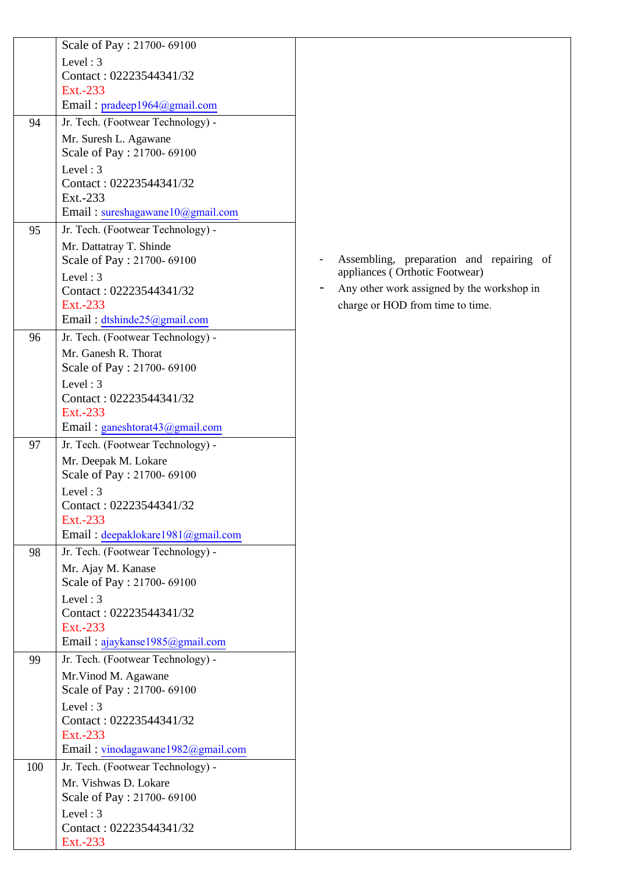|     | Scale of Pay: 21700-69100                       |                                            |
|-----|-------------------------------------------------|--------------------------------------------|
|     | Level: $3$                                      |                                            |
|     | Contact: 02223544341/32                         |                                            |
|     | Ext.-233                                        |                                            |
|     | Email: pradeep1964@gmail.com                    |                                            |
| 94  | Jr. Tech. (Footwear Technology) -               |                                            |
|     | Mr. Suresh L. Agawane                           |                                            |
|     | Scale of Pay: 21700-69100                       |                                            |
|     | Level: $3$                                      |                                            |
|     | Contact: 02223544341/32                         |                                            |
|     | Ext.-233                                        |                                            |
|     | Email: sureshagawane10@gmail.com                |                                            |
| 95  | Jr. Tech. (Footwear Technology) -               |                                            |
|     | Mr. Dattatray T. Shinde                         |                                            |
|     | Scale of Pay: 21700-69100                       | Assembling, preparation and repairing of   |
|     | Level: $3$                                      | appliances (Orthotic Footwear)             |
|     | Contact: 02223544341/32                         | Any other work assigned by the workshop in |
|     | Ext.-233                                        | charge or HOD from time to time.           |
|     | Email: $d$ tshinde $25$ @gmail.com              |                                            |
| 96  | Jr. Tech. (Footwear Technology) -               |                                            |
|     | Mr. Ganesh R. Thorat                            |                                            |
|     | Scale of Pay: 21700-69100                       |                                            |
|     | Level: $3$                                      |                                            |
|     | Contact: 02223544341/32                         |                                            |
|     | Ext.-233                                        |                                            |
|     | Email: ganeshtorat43@gmail.com                  |                                            |
| 97  | Jr. Tech. (Footwear Technology) -               |                                            |
|     | Mr. Deepak M. Lokare                            |                                            |
|     | Scale of Pay: 21700-69100                       |                                            |
|     | Level: 3                                        |                                            |
|     | Contact: 02223544341/32<br>Ext.-233             |                                            |
|     | Email: deepaklokare1981@gmail.com               |                                            |
| 98  | Jr. Tech. (Footwear Technology) -               |                                            |
|     |                                                 |                                            |
|     | Mr. Ajay M. Kanase<br>Scale of Pay: 21700-69100 |                                            |
|     | Level: $3$                                      |                                            |
|     | Contact: 02223544341/32                         |                                            |
|     | Ext.-233                                        |                                            |
|     | Email: ajaykanse1985@gmail.com                  |                                            |
| 99  | Jr. Tech. (Footwear Technology) -               |                                            |
|     | Mr. Vinod M. Agawane                            |                                            |
|     | Scale of Pay: 21700-69100                       |                                            |
|     | Level: $3$                                      |                                            |
|     | Contact: 02223544341/32                         |                                            |
|     | Ext.-233                                        |                                            |
|     | Email: vinodagawane1982@gmail.com               |                                            |
| 100 | Jr. Tech. (Footwear Technology) -               |                                            |
|     | Mr. Vishwas D. Lokare                           |                                            |
|     | Scale of Pay: 21700-69100                       |                                            |
|     | Level: $3$                                      |                                            |
|     | Contact: 02223544341/32                         |                                            |
|     | Ext.-233                                        |                                            |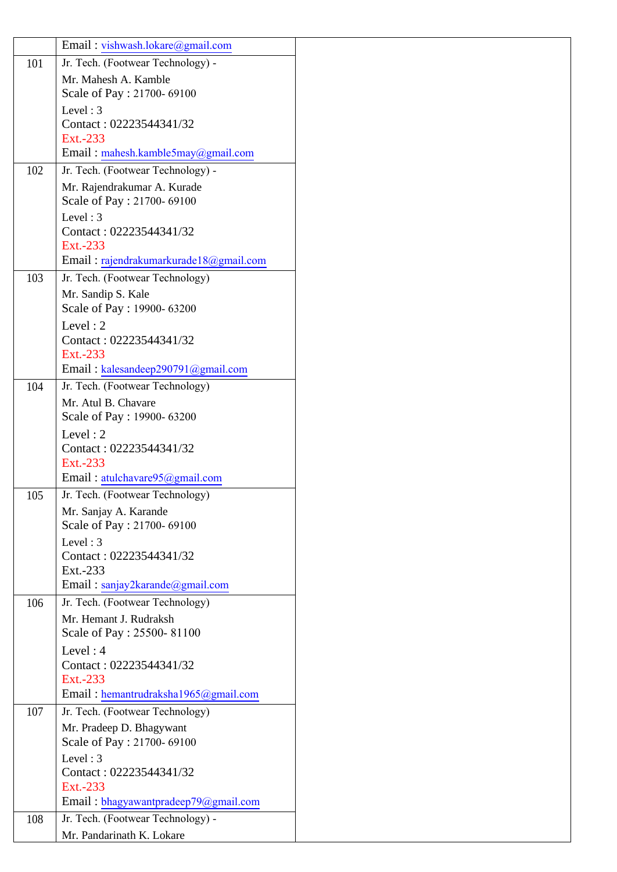|     | Email: vishwash.lokare@gmail.com                                 |
|-----|------------------------------------------------------------------|
| 101 | Jr. Tech. (Footwear Technology) -                                |
|     | Mr. Mahesh A. Kamble                                             |
|     | Scale of Pay: 21700-69100                                        |
|     | Level: $3$                                                       |
|     | Contact: 02223544341/32                                          |
|     | Ext.-233<br>Email: mahesh.kamble5may@gmail.com                   |
|     |                                                                  |
| 102 | Jr. Tech. (Footwear Technology) -<br>Mr. Rajendrakumar A. Kurade |
|     | Scale of Pay: 21700-69100                                        |
|     | Level: $3$                                                       |
|     | Contact: 02223544341/32                                          |
|     | Ext.-233                                                         |
|     | Email: rajendrakumarkurade18@gmail.com                           |
| 103 | Jr. Tech. (Footwear Technology)                                  |
|     | Mr. Sandip S. Kale                                               |
|     | Scale of Pay: 19900-63200                                        |
|     | Level: $2$                                                       |
|     | Contact: 02223544341/32                                          |
|     | Ext.-233                                                         |
|     | Email: kalesandeep290791@gmail.com                               |
| 104 | Jr. Tech. (Footwear Technology)                                  |
|     | Mr. Atul B. Chavare                                              |
|     | Scale of Pay: 19900-63200                                        |
|     | Level: $2$                                                       |
|     | Contact: 02223544341/32<br>Ext.-233                              |
|     | Email: atulchavare95@gmail.com                                   |
| 105 | Jr. Tech. (Footwear Technology)                                  |
|     | Mr. Sanjay A. Karande                                            |
|     | Scale of Pay: 21700-69100                                        |
|     | Level: $3$                                                       |
|     | Contact: 02223544341/32                                          |
|     | Ext.-233                                                         |
|     | Email: sanjay2karande@gmail.com                                  |
| 106 | Jr. Tech. (Footwear Technology)                                  |
|     | Mr. Hemant J. Rudraksh                                           |
|     | Scale of Pay : 25500-81100                                       |
|     | Level: $4$                                                       |
|     | Contact: 02223544341/32                                          |
|     | Ext.-233<br>Email: hemantrudraksha1965@gmail.com                 |
|     |                                                                  |
| 107 | Jr. Tech. (Footwear Technology)                                  |
|     | Mr. Pradeep D. Bhagywant<br>Scale of Pay: 21700-69100            |
|     | Level: $3$                                                       |
|     | Contact: 02223544341/32                                          |
|     | Ext.-233                                                         |
|     | Email: bhagyawantpradeep79@gmail.com                             |
| 108 | Jr. Tech. (Footwear Technology) -                                |
|     | Mr. Pandarinath K. Lokare                                        |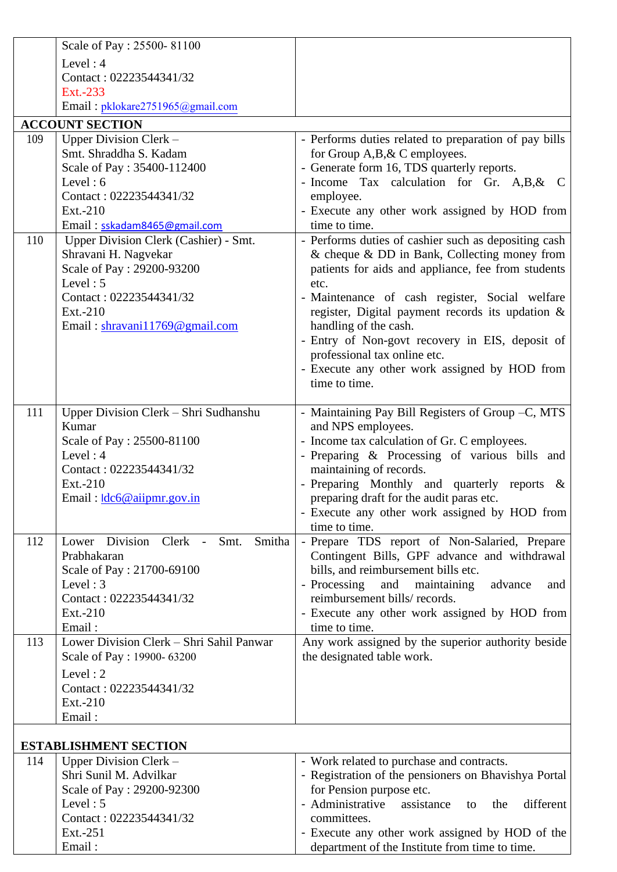|     | Scale of Pay: 25500-81100                      |                                                                                           |
|-----|------------------------------------------------|-------------------------------------------------------------------------------------------|
|     | Level: $4$                                     |                                                                                           |
|     | Contact: 02223544341/32                        |                                                                                           |
|     | Ext.-233                                       |                                                                                           |
|     | Email: pklokare2751965@gmail.com               |                                                                                           |
|     | <b>ACCOUNT SECTION</b>                         |                                                                                           |
| 109 | Upper Division Clerk -                         |                                                                                           |
|     | Smt. Shraddha S. Kadam                         | - Performs duties related to preparation of pay bills                                     |
|     |                                                | for Group A, B, & C employees.                                                            |
|     | Scale of Pay: 35400-112400                     | - Generate form 16, TDS quarterly reports.                                                |
|     | Level: $6$                                     | - Income Tax calculation for Gr. A,B,& C                                                  |
|     | Contact: 02223544341/32                        | employee.                                                                                 |
|     | Ext.-210                                       | - Execute any other work assigned by HOD from                                             |
|     | Email: sskadam8465@gmail.com                   | time to time.                                                                             |
| 110 | Upper Division Clerk (Cashier) - Smt.          | - Performs duties of cashier such as depositing cash                                      |
|     | Shravani H. Nagvekar                           | & cheque & DD in Bank, Collecting money from                                              |
|     | Scale of Pay: 29200-93200                      | patients for aids and appliance, fee from students                                        |
|     | Level: $5$                                     | etc.                                                                                      |
|     | Contact: 02223544341/32                        | - Maintenance of cash register, Social welfare                                            |
|     | Ext.-210                                       | register, Digital payment records its updation $\&$                                       |
|     | Email: shravani11769@gmail.com                 | handling of the cash.                                                                     |
|     |                                                | - Entry of Non-govt recovery in EIS, deposit of                                           |
|     |                                                | professional tax online etc.                                                              |
|     |                                                | - Execute any other work assigned by HOD from                                             |
|     |                                                | time to time.                                                                             |
|     |                                                |                                                                                           |
| 111 | Upper Division Clerk – Shri Sudhanshu          | - Maintaining Pay Bill Registers of Group -C, MTS                                         |
|     | Kumar                                          | and NPS employees.                                                                        |
|     | Scale of Pay: 25500-81100<br>Level: $4$        | - Income tax calculation of Gr. C employees.                                              |
|     | Contact: 02223544341/32                        | - Preparing & Processing of various bills and                                             |
|     | Ext.-210                                       | maintaining of records.<br>- Preparing Monthly and quarterly reports &                    |
|     |                                                |                                                                                           |
|     | Email: <u>Idc6@aiipmr.gov.in</u>               | preparing draft for the audit paras etc.<br>- Execute any other work assigned by HOD from |
|     |                                                | time to time.                                                                             |
| 112 | Division<br>Smitha<br>Clerk -<br>Smt.<br>Lower | - Prepare TDS report of Non-Salaried, Prepare                                             |
|     | Prabhakaran                                    | Contingent Bills, GPF advance and withdrawal                                              |
|     | Scale of Pay: 21700-69100                      | bills, and reimbursement bills etc.                                                       |
|     | Level: $3$                                     | - Processing<br>and<br>maintaining<br>advance<br>and                                      |
|     | Contact: 02223544341/32                        | reimbursement bills/records.                                                              |
|     | Ext.-210                                       | - Execute any other work assigned by HOD from                                             |
|     | Email:                                         | time to time.                                                                             |
| 113 | Lower Division Clerk - Shri Sahil Panwar       | Any work assigned by the superior authority beside                                        |
|     | Scale of Pay: 19900-63200                      | the designated table work.                                                                |
|     | Level: 2                                       |                                                                                           |
|     | Contact: 02223544341/32                        |                                                                                           |
|     | Ext.-210                                       |                                                                                           |
|     |                                                |                                                                                           |
|     | Email:                                         |                                                                                           |
|     | <b>ESTABLISHMENT SECTION</b>                   |                                                                                           |
| 114 | Upper Division Clerk -                         | - Work related to purchase and contracts.                                                 |
|     | Shri Sunil M. Advilkar                         | - Registration of the pensioners on Bhavishya Portal                                      |
|     | Scale of Pay: 29200-92300                      | for Pension purpose etc.                                                                  |
|     | Level: $5$                                     | - Administrative<br>assistance<br>different<br>the<br>to                                  |
|     | Contact: 02223544341/32                        | committees.                                                                               |
|     | Ext.-251                                       | - Execute any other work assigned by HOD of the                                           |
|     | Email:                                         | department of the Institute from time to time.                                            |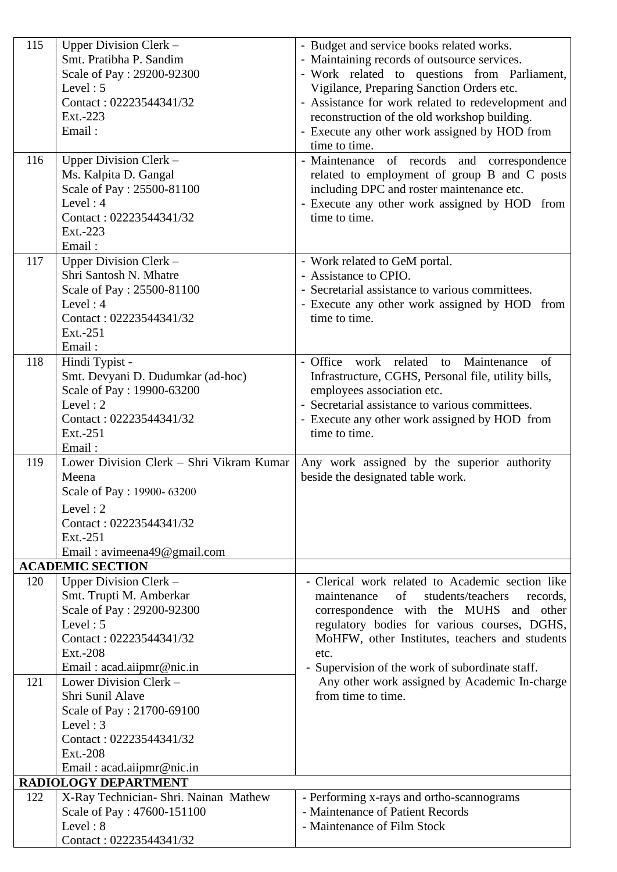| 115 | Upper Division Clerk -                   | - Budget and service books related works.           |
|-----|------------------------------------------|-----------------------------------------------------|
|     | Smt. Pratibha P. Sandim                  | - Maintaining records of outsource services.        |
|     | Scale of Pay: 29200-92300                | - Work related to questions from Parliament,        |
|     | Level: $5$                               | Vigilance, Preparing Sanction Orders etc.           |
|     | Contact: 02223544341/32                  | - Assistance for work related to redevelopment and  |
|     | Ext.-223                                 | reconstruction of the old workshop building.        |
|     | Email:                                   | - Execute any other work assigned by HOD from       |
|     |                                          | time to time.                                       |
| 116 | Upper Division Clerk –                   | - Maintenance of records and correspondence         |
|     | Ms. Kalpita D. Gangal                    | related to employment of group B and C posts        |
|     | Scale of Pay: 25500-81100                | including DPC and roster maintenance etc.           |
|     | Level: $4$                               | - Execute any other work assigned by HOD from       |
|     | Contact: 02223544341/32                  | time to time.                                       |
|     | Ext.-223                                 |                                                     |
|     | Email:                                   |                                                     |
| 117 | Upper Division Clerk -                   | - Work related to GeM portal.                       |
|     | Shri Santosh N. Mhatre                   | - Assistance to CPIO.                               |
|     | Scale of Pay: 25500-81100                | - Secretarial assistance to various committees.     |
|     | Level: $4$                               | - Execute any other work assigned by HOD from       |
|     | Contact: 02223544341/32                  | time to time.                                       |
|     | Ext.-251                                 |                                                     |
|     | Email:                                   |                                                     |
| 118 | Hindi Typist -                           | - Office<br>Maintenance<br>work related<br>of<br>to |
|     | Smt. Devyani D. Dudumkar (ad-hoc)        | Infrastructure, CGHS, Personal file, utility bills, |
|     | Scale of Pay: 19900-63200                | employees association etc.                          |
|     | Level: $2$                               | - Secretarial assistance to various committees.     |
|     | Contact: 02223544341/32                  | - Execute any other work assigned by HOD from       |
|     | Ext.-251                                 | time to time.                                       |
|     | Email:                                   |                                                     |
| 119 | Lower Division Clerk - Shri Vikram Kumar | Any work assigned by the superior authority         |
|     | Meena                                    | beside the designated table work.                   |
|     | Scale of Pay: 19900-63200                |                                                     |
|     | Level: $2$                               |                                                     |
|     | Contact: 02223544341/32                  |                                                     |
|     | Ext.-251                                 |                                                     |
|     | Email: avimeena49@gmail.com              |                                                     |
|     | <b>ACADEMIC SECTION</b>                  |                                                     |
| 120 | Upper Division Clerk -                   | - Clerical work related to Academic section like    |
|     | Smt. Trupti M. Amberkar                  | of<br>maintenance<br>students/teachers<br>records.  |
|     | Scale of Pay: 29200-92300                | correspondence with the MUHS and other              |
|     | Level: $5$                               | regulatory bodies for various courses, DGHS,        |
|     | Contact: 02223544341/32                  | MoHFW, other Institutes, teachers and students      |
|     | Ext.-208                                 | etc.                                                |
|     | Email: acad.aiipmr@nic.in                | - Supervision of the work of subordinate staff.     |
| 121 | Lower Division Clerk -                   | Any other work assigned by Academic In-charge       |
|     | Shri Sunil Alave                         | from time to time.                                  |
|     | Scale of Pay: 21700-69100                |                                                     |
|     | Level: $3$                               |                                                     |
|     | Contact: 02223544341/32                  |                                                     |
|     | Ext.-208                                 |                                                     |
|     | Email: acad.aiipmr@nic.in                |                                                     |
|     | <b>RADIOLOGY DEPARTMENT</b>              |                                                     |
| 122 | X-Ray Technician- Shri. Nainan Mathew    | - Performing x-rays and ortho-scannograms           |
|     | Scale of Pay: 47600-151100               | - Maintenance of Patient Records                    |
|     | Level: 8                                 | - Maintenance of Film Stock                         |
|     | Contact: 02223544341/32                  |                                                     |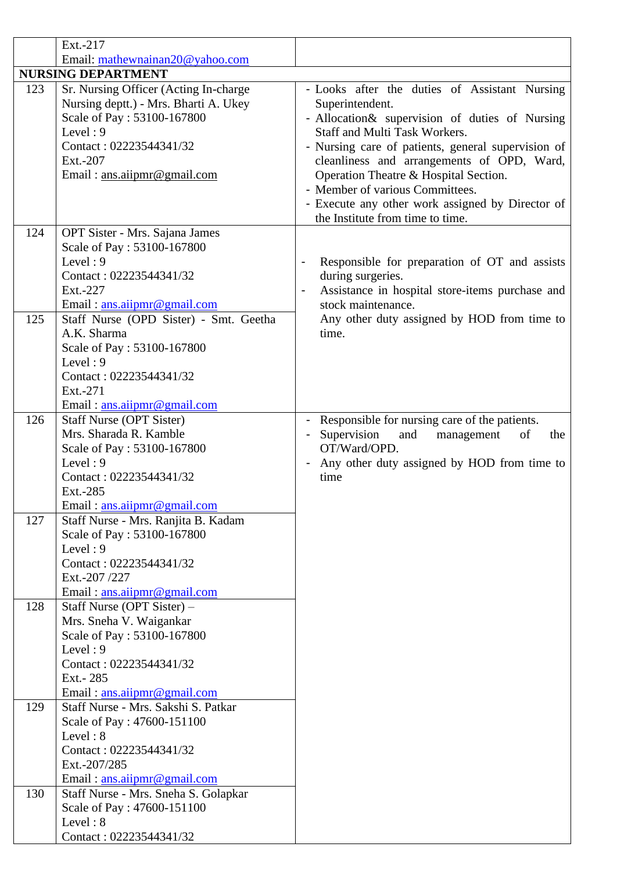|     | Ext.-217                                                                                                                                                                                         |                                                                                                                                                                                                                                                                                                                                                                                                                              |
|-----|--------------------------------------------------------------------------------------------------------------------------------------------------------------------------------------------------|------------------------------------------------------------------------------------------------------------------------------------------------------------------------------------------------------------------------------------------------------------------------------------------------------------------------------------------------------------------------------------------------------------------------------|
|     | Email: mathewnainan20@yahoo.com                                                                                                                                                                  |                                                                                                                                                                                                                                                                                                                                                                                                                              |
|     | <b>NURSING DEPARTMENT</b>                                                                                                                                                                        |                                                                                                                                                                                                                                                                                                                                                                                                                              |
| 123 | Sr. Nursing Officer (Acting In-charge<br>Nursing deptt.) - Mrs. Bharti A. Ukey<br>Scale of Pay: 53100-167800<br>Level: $9$<br>Contact: 02223544341/32<br>Ext.-207<br>Email: ans.aiipmr@gmail.com | - Looks after the duties of Assistant Nursing<br>Superintendent.<br>- Allocation & supervision of duties of Nursing<br>Staff and Multi Task Workers.<br>- Nursing care of patients, general supervision of<br>cleanliness and arrangements of OPD, Ward,<br>Operation Theatre & Hospital Section.<br>- Member of various Committees.<br>- Execute any other work assigned by Director of<br>the Institute from time to time. |
| 124 | OPT Sister - Mrs. Sajana James<br>Scale of Pay: 53100-167800<br>Level: $9$<br>Contact: 02223544341/32<br>Ext.-227<br>Email: ans.aijpmr@gmail.com                                                 | Responsible for preparation of OT and assists<br>during surgeries.<br>Assistance in hospital store-items purchase and<br>stock maintenance.                                                                                                                                                                                                                                                                                  |
| 125 | Staff Nurse (OPD Sister) - Smt. Geetha<br>A.K. Sharma<br>Scale of Pay: 53100-167800<br>Level: $9$<br>Contact: 02223544341/32<br>Ext.-271<br>Email: $ans. a^{ijpm}$ @gmail.com                    | Any other duty assigned by HOD from time to<br>time.                                                                                                                                                                                                                                                                                                                                                                         |
| 126 | <b>Staff Nurse (OPT Sister)</b><br>Mrs. Sharada R. Kamble<br>Scale of Pay: 53100-167800<br>Level: $9$<br>Contact: 02223544341/32<br>Ext.-285<br>Email: ans.aiipmr@gmail.com                      | Responsible for nursing care of the patients.<br>Supervision<br>and<br>management<br>of<br>the<br>OT/Ward/OPD.<br>Any other duty assigned by HOD from time to<br>$\qquad \qquad \blacksquare$<br>time                                                                                                                                                                                                                        |
| 127 | Staff Nurse - Mrs. Ranjita B. Kadam<br>Scale of Pay: 53100-167800<br>Level: $9$<br>Contact: 02223544341/32<br>Ext.-207 /227<br>Email: $ans. aijpm@gmail.com$                                     |                                                                                                                                                                                                                                                                                                                                                                                                                              |
| 128 | Staff Nurse (OPT Sister) –<br>Mrs. Sneha V. Waigankar<br>Scale of Pay: 53100-167800<br>Level: $9$<br>Contact: 02223544341/32<br>Ext.- 285<br>Email: ans.aiipmr@gmail.com                         |                                                                                                                                                                                                                                                                                                                                                                                                                              |
| 129 | Staff Nurse - Mrs. Sakshi S. Patkar<br>Scale of Pay: 47600-151100<br>Level: $8$<br>Contact: 02223544341/32<br>Ext.-207/285<br>Email: ans.aijpmr@gmail.com                                        |                                                                                                                                                                                                                                                                                                                                                                                                                              |
| 130 | Staff Nurse - Mrs. Sneha S. Golapkar<br>Scale of Pay: 47600-151100<br>Level: 8<br>Contact: 02223544341/32                                                                                        |                                                                                                                                                                                                                                                                                                                                                                                                                              |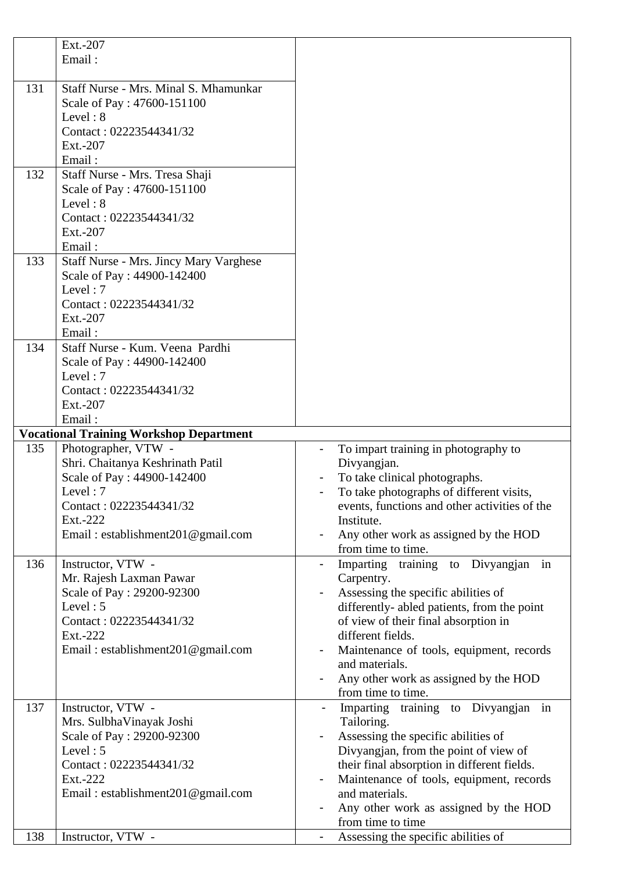|     | Ext.-207                                       |                                                                      |
|-----|------------------------------------------------|----------------------------------------------------------------------|
|     | Email:                                         |                                                                      |
|     |                                                |                                                                      |
| 131 | Staff Nurse - Mrs. Minal S. Mhamunkar          |                                                                      |
|     | Scale of Pay: 47600-151100                     |                                                                      |
|     | Level: $8$                                     |                                                                      |
|     | Contact: 02223544341/32                        |                                                                      |
|     | Ext.-207                                       |                                                                      |
|     | Email:                                         |                                                                      |
| 132 | Staff Nurse - Mrs. Tresa Shaji                 |                                                                      |
|     | Scale of Pay: 47600-151100                     |                                                                      |
|     | Level: 8                                       |                                                                      |
|     | Contact: 02223544341/32                        |                                                                      |
|     |                                                |                                                                      |
|     | Ext.-207                                       |                                                                      |
|     | Email:                                         |                                                                      |
| 133 | Staff Nurse - Mrs. Jincy Mary Varghese         |                                                                      |
|     | Scale of Pay: 44900-142400                     |                                                                      |
|     | Level: $7$                                     |                                                                      |
|     | Contact: 02223544341/32                        |                                                                      |
|     | Ext.-207                                       |                                                                      |
|     | Email:                                         |                                                                      |
| 134 | Staff Nurse - Kum. Veena Pardhi                |                                                                      |
|     | Scale of Pay: 44900-142400                     |                                                                      |
|     | Level: $7$                                     |                                                                      |
|     | Contact: 02223544341/32                        |                                                                      |
|     | Ext.-207                                       |                                                                      |
|     | Email:                                         |                                                                      |
|     | <b>Vocational Training Workshop Department</b> |                                                                      |
| 135 | Photographer, VTW -                            | To impart training in photography to                                 |
|     | Shri. Chaitanya Keshrinath Patil               | Divyangjan.                                                          |
|     | Scale of Pay: 44900-142400                     | To take clinical photographs.                                        |
|     | Level: $7$                                     | To take photographs of different visits,                             |
|     | Contact: 02223544341/32                        | events, functions and other activities of the                        |
|     | Ext.-222                                       | Institute.                                                           |
|     | Email: establishment201@gmail.com              |                                                                      |
|     |                                                | Any other work as assigned by the HOD                                |
|     |                                                | from time to time.                                                   |
| 136 | Instructor, VTW -                              | Imparting training to Divyangian in<br>÷.                            |
|     | Mr. Rajesh Laxman Pawar                        | Carpentry.                                                           |
|     | Scale of Pay: 29200-92300                      | Assessing the specific abilities of<br>$\qquad \qquad \blacksquare$  |
|     | Level: $5$                                     |                                                                      |
|     | Contact: 02223544341/32                        | differently- abled patients, from the point                          |
|     | Ext.-222                                       | of view of their final absorption in<br>different fields.            |
|     |                                                |                                                                      |
|     | Email: establishment201@gmail.com              | Maintenance of tools, equipment, records<br>and materials.           |
|     |                                                |                                                                      |
|     |                                                | Any other work as assigned by the HOD                                |
|     |                                                | from time to time.                                                   |
| 137 | Instructor, VTW -                              | Imparting training to Divyangian in                                  |
|     | Mrs. SulbhaVinayak Joshi                       | Tailoring.<br>$\qquad \qquad \blacksquare$                           |
|     | Scale of Pay: 29200-92300                      | Assessing the specific abilities of                                  |
|     | Level: $5$                                     | Divyangjan, from the point of view of                                |
|     | Contact: 02223544341/32                        | their final absorption in different fields.                          |
|     | Ext.-222                                       | Maintenance of tools, equipment, records<br>$\overline{\phantom{0}}$ |
|     | Email: establishment201@gmail.com              | and materials.                                                       |
|     |                                                | Any other work as assigned by the HOD                                |
| 138 | Instructor, VTW -                              | from time to time<br>Assessing the specific abilities of             |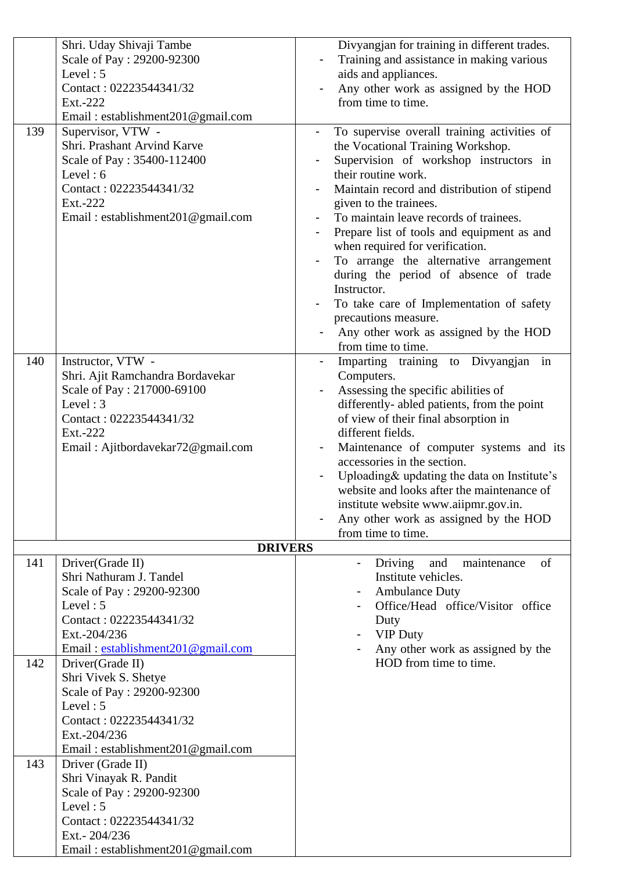|     | Shri. Uday Shivaji Tambe<br>Scale of Pay: 29200-92300 | Divyangjan for training in different trades.<br>Training and assistance in making various          |
|-----|-------------------------------------------------------|----------------------------------------------------------------------------------------------------|
|     | Level: $5$                                            | aids and appliances.                                                                               |
|     | Contact: 02223544341/32                               | Any other work as assigned by the HOD                                                              |
|     | Ext.-222                                              | from time to time.                                                                                 |
|     | Email: establishment201@gmail.com                     |                                                                                                    |
| 139 | Supervisor, VTW -<br>Shri. Prashant Arvind Karve      | To supervise overall training activities of<br>$\blacksquare$<br>the Vocational Training Workshop. |
|     | Scale of Pay: 35400-112400                            | Supervision of workshop instructors in                                                             |
|     | Level: $6$                                            | their routine work.                                                                                |
|     | Contact: 02223544341/32                               | Maintain record and distribution of stipend                                                        |
|     | Ext.-222                                              | given to the trainees.                                                                             |
|     | Email: establishment201@gmail.com                     | To maintain leave records of trainees.                                                             |
|     |                                                       | Prepare list of tools and equipment as and                                                         |
|     |                                                       | when required for verification.                                                                    |
|     |                                                       | To arrange the alternative arrangement                                                             |
|     |                                                       | during the period of absence of trade<br>Instructor.                                               |
|     |                                                       | To take care of Implementation of safety                                                           |
|     |                                                       | precautions measure.                                                                               |
|     |                                                       | Any other work as assigned by the HOD                                                              |
|     |                                                       | from time to time.                                                                                 |
| 140 | Instructor, VTW -                                     | Imparting training to Divyangjan in<br>$\blacksquare$                                              |
|     | Shri. Ajit Ramchandra Bordavekar                      | Computers.                                                                                         |
|     | Scale of Pay: 217000-69100<br>Level: $3$              | Assessing the specific abilities of                                                                |
|     | Contact: 02223544341/32                               | differently- abled patients, from the point<br>of view of their final absorption in                |
|     | Ext.-222                                              | different fields.                                                                                  |
|     | Email: Ajitbordavekar72@gmail.com                     | Maintenance of computer systems and its<br>$\blacksquare$                                          |
|     |                                                       | accessories in the section.                                                                        |
|     |                                                       | Uploading & updating the data on Institute's                                                       |
|     |                                                       | website and looks after the maintenance of                                                         |
|     |                                                       | institute website www.aiipmr.gov.in.                                                               |
|     |                                                       | Any other work as assigned by the HOD<br>from time to time.                                        |
|     | <b>DRIVERS</b>                                        |                                                                                                    |
| 141 | Driver(Grade II)                                      | of<br>Driving<br>and<br>maintenance<br>$\blacksquare$                                              |
|     | Shri Nathuram J. Tandel                               | Institute vehicles.                                                                                |
|     | Scale of Pay: 29200-92300                             | <b>Ambulance Duty</b>                                                                              |
|     | Level: $5$                                            | Office/Head office/Visitor office                                                                  |
|     | Contact: 02223544341/32                               | Duty                                                                                               |
|     | Ext.-204/236                                          | <b>VIP Duty</b><br>$\blacksquare$                                                                  |
| 142 | Email: establishment201@gmail.com                     | Any other work as assigned by the<br>HOD from time to time.                                        |
|     | Driver(Grade II)<br>Shri Vivek S. Shetye              |                                                                                                    |
|     | Scale of Pay: 29200-92300                             |                                                                                                    |
|     | Level: $5$                                            |                                                                                                    |
|     | Contact: 02223544341/32                               |                                                                                                    |
|     | Ext.-204/236                                          |                                                                                                    |
|     | Email: establishment201@gmail.com                     |                                                                                                    |
| 143 | Driver (Grade II)                                     |                                                                                                    |
|     | Shri Vinayak R. Pandit                                |                                                                                                    |
|     | Scale of Pay: 29200-92300<br>Level: $5$               |                                                                                                    |
|     | Contact: 02223544341/32                               |                                                                                                    |
|     | Ext.- 204/236                                         |                                                                                                    |
|     | Email: establishment201@gmail.com                     |                                                                                                    |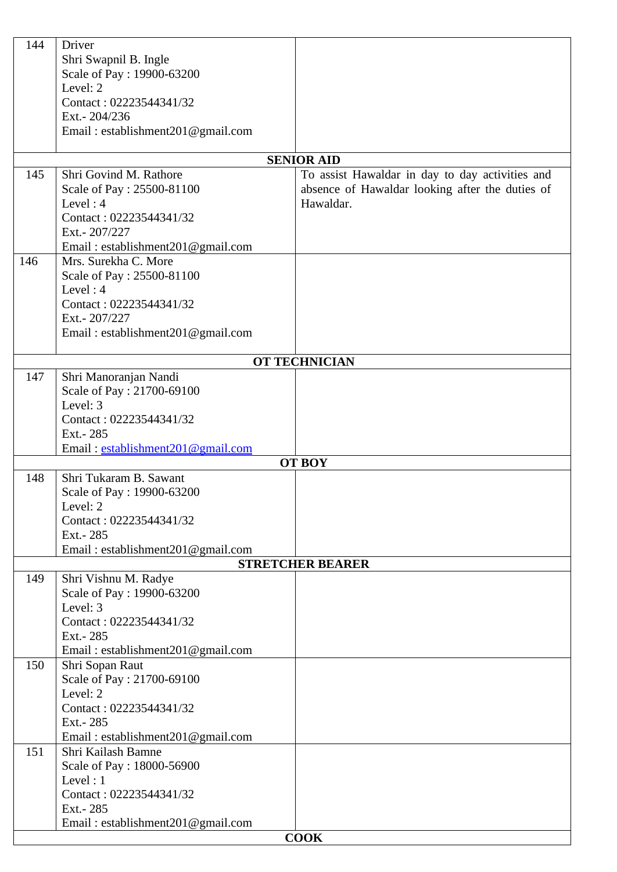| 144 | Driver                                          |                                                 |
|-----|-------------------------------------------------|-------------------------------------------------|
|     | Shri Swapnil B. Ingle                           |                                                 |
|     | Scale of Pay: 19900-63200                       |                                                 |
|     | Level: 2                                        |                                                 |
|     | Contact: 02223544341/32                         |                                                 |
|     | Ext.- 204/236                                   |                                                 |
|     | Email: establishment201@gmail.com               |                                                 |
|     |                                                 |                                                 |
|     |                                                 | <b>SENIOR AID</b>                               |
| 145 | Shri Govind M. Rathore                          | To assist Hawaldar in day to day activities and |
|     | Scale of Pay: 25500-81100                       | absence of Hawaldar looking after the duties of |
|     | Level: $4$                                      | Hawaldar.                                       |
|     | Contact: 02223544341/32                         |                                                 |
|     | Ext.- 207/227                                   |                                                 |
|     | Email: establishment201@gmail.com               |                                                 |
| 146 | Mrs. Surekha C. More                            |                                                 |
|     | Scale of Pay: 25500-81100                       |                                                 |
|     | Level: $4$                                      |                                                 |
|     | Contact: 02223544341/32                         |                                                 |
|     | Ext.- 207/227                                   |                                                 |
|     | Email: establishment201@gmail.com               |                                                 |
|     |                                                 |                                                 |
|     |                                                 | <b>OT TECHNICIAN</b>                            |
| 147 | Shri Manoranjan Nandi                           |                                                 |
|     | Scale of Pay: 21700-69100<br>Level: 3           |                                                 |
|     |                                                 |                                                 |
|     | Contact: 02223544341/32                         |                                                 |
|     | Ext. - 285<br>Email: establishment201@gmail.com |                                                 |
|     |                                                 | <b>OT BOY</b>                                   |
| 148 | Shri Tukaram B. Sawant                          |                                                 |
|     | Scale of Pay: 19900-63200                       |                                                 |
|     | Level: 2                                        |                                                 |
|     | Contact: 02223544341/32                         |                                                 |
|     | Ext. - 285                                      |                                                 |
|     | Email: establishment201@gmail.com               |                                                 |
|     |                                                 | <b>STRETCHER BEARER</b>                         |
| 149 | Shri Vishnu M. Radye                            |                                                 |
|     | Scale of Pay: 19900-63200                       |                                                 |
|     | Level: 3                                        |                                                 |
|     | Contact: 02223544341/32                         |                                                 |
|     | Ext.- 285                                       |                                                 |
|     | Email: establishment201@gmail.com               |                                                 |
| 150 | Shri Sopan Raut                                 |                                                 |
|     | Scale of Pay: 21700-69100                       |                                                 |
|     | Level: 2                                        |                                                 |
|     | Contact: 02223544341/32                         |                                                 |
|     | Ext. - 285                                      |                                                 |
|     | Email: establishment201@gmail.com               |                                                 |
| 151 | Shri Kailash Bamne                              |                                                 |
|     | Scale of Pay: 18000-56900<br>Level: $1$         |                                                 |
|     | Contact: 02223544341/32                         |                                                 |
|     | Ext. - 285                                      |                                                 |
|     | Email: establishment201@gmail.com               |                                                 |
|     |                                                 | <b>COOK</b>                                     |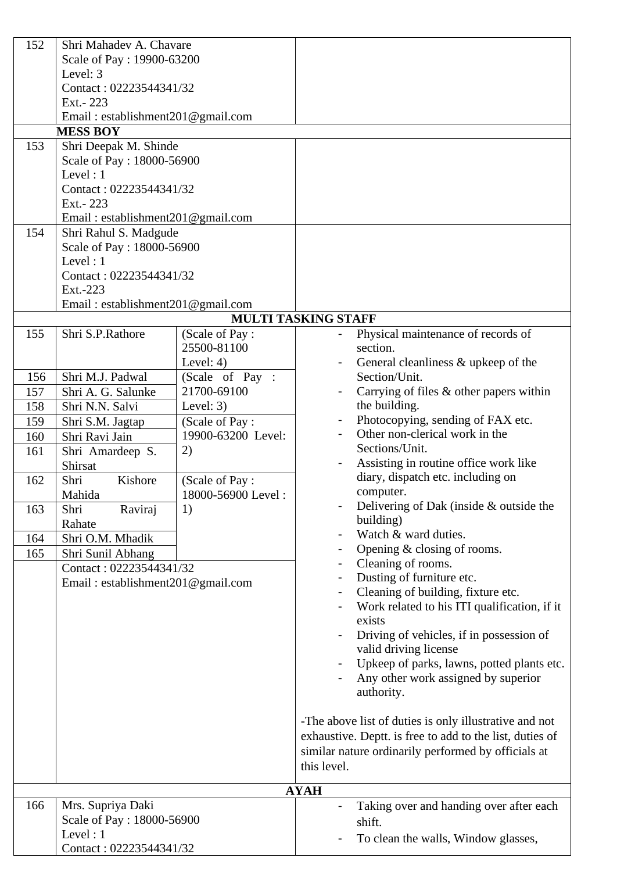| 152 | Shri Mahadev A. Chavare           |                            |                |                                                          |
|-----|-----------------------------------|----------------------------|----------------|----------------------------------------------------------|
|     | Scale of Pay: 19900-63200         |                            |                |                                                          |
|     | Level: 3                          |                            |                |                                                          |
|     | Contact: 02223544341/32           |                            |                |                                                          |
|     | Ext.-223                          |                            |                |                                                          |
|     | Email: establishment201@gmail.com |                            |                |                                                          |
|     | <b>MESS BOY</b>                   |                            |                |                                                          |
| 153 | Shri Deepak M. Shinde             |                            |                |                                                          |
|     | Scale of Pay: 18000-56900         |                            |                |                                                          |
|     | Level : $1$                       |                            |                |                                                          |
|     | Contact: 02223544341/32           |                            |                |                                                          |
|     | Ext.- 223                         |                            |                |                                                          |
|     | Email: establishment201@gmail.com |                            |                |                                                          |
| 154 | Shri Rahul S. Madgude             |                            |                |                                                          |
|     | Scale of Pay: 18000-56900         |                            |                |                                                          |
|     | Level: $1$                        |                            |                |                                                          |
|     | Contact: 02223544341/32           |                            |                |                                                          |
|     | Ext.-223                          |                            |                |                                                          |
|     | Email: establishment201@gmail.com |                            |                |                                                          |
|     |                                   | <b>MULTI TASKING STAFF</b> |                |                                                          |
| 155 | Shri S.P.Rathore                  | (Scale of Pay:             |                | Physical maintenance of records of                       |
|     |                                   | 25500-81100                |                | section.                                                 |
|     |                                   | Level: $4)$                |                | General cleanliness & upkeep of the                      |
| 156 | Shri M.J. Padwal                  | (Scale of Pay :            |                | Section/Unit.                                            |
| 157 | Shri A. G. Salunke                | 21700-69100                |                | Carrying of files & other papers within                  |
| 158 | Shri N.N. Salvi                   | Level: $3)$                |                | the building.                                            |
| 159 | Shri S.M. Jagtap                  | (Scale of Pay:             |                | Photocopying, sending of FAX etc.                        |
| 160 | Shri Ravi Jain                    | 19900-63200 Level:         |                | Other non-clerical work in the                           |
| 161 | Shri Amardeep S.                  | 2)                         |                | Sections/Unit.                                           |
|     | Shirsat                           |                            |                | Assisting in routine office work like                    |
| 162 | Shri<br>Kishore                   | (Scale of Pay:             |                | diary, dispatch etc. including on                        |
|     | Mahida                            | 18000-56900 Level:         |                | computer.                                                |
| 163 | Shri<br>Raviraj                   | 1)                         |                | Delivering of Dak (inside $&$ outside the                |
|     | Rahate                            |                            |                | building)                                                |
| 164 | Shri O.M. Mhadik                  |                            |                | Watch & ward duties.                                     |
| 165 | Shri Sunil Abhang                 |                            |                | Opening $& closing$ of rooms.                            |
|     | Contact: 02223544341/32           |                            |                | Cleaning of rooms.                                       |
|     | Email: establishment201@gmail.com |                            | $\blacksquare$ | Dusting of furniture etc.                                |
|     |                                   |                            | $\blacksquare$ | Cleaning of building, fixture etc.                       |
|     |                                   |                            |                | Work related to his ITI qualification, if it             |
|     |                                   |                            |                | exists                                                   |
|     |                                   |                            |                | Driving of vehicles, if in possession of                 |
|     |                                   |                            |                | valid driving license                                    |
|     |                                   |                            |                | Upkeep of parks, lawns, potted plants etc.               |
|     |                                   |                            |                | Any other work assigned by superior                      |
|     |                                   |                            |                | authority.                                               |
|     |                                   |                            |                |                                                          |
|     |                                   |                            |                | -The above list of duties is only illustrative and not   |
|     |                                   |                            |                | exhaustive. Deptt. is free to add to the list, duties of |
|     |                                   |                            |                | similar nature ordinarily performed by officials at      |
|     |                                   |                            | this level.    |                                                          |
|     |                                   |                            |                |                                                          |
|     |                                   |                            | <b>AYAH</b>    |                                                          |
| 166 | Mrs. Supriya Daki                 |                            |                | Taking over and handing over after each                  |
|     | Scale of Pay: 18000-56900         |                            |                | shift.                                                   |
|     | Level : $1$                       |                            |                | To clean the walls, Window glasses,                      |
|     | Contact: 02223544341/32           |                            |                |                                                          |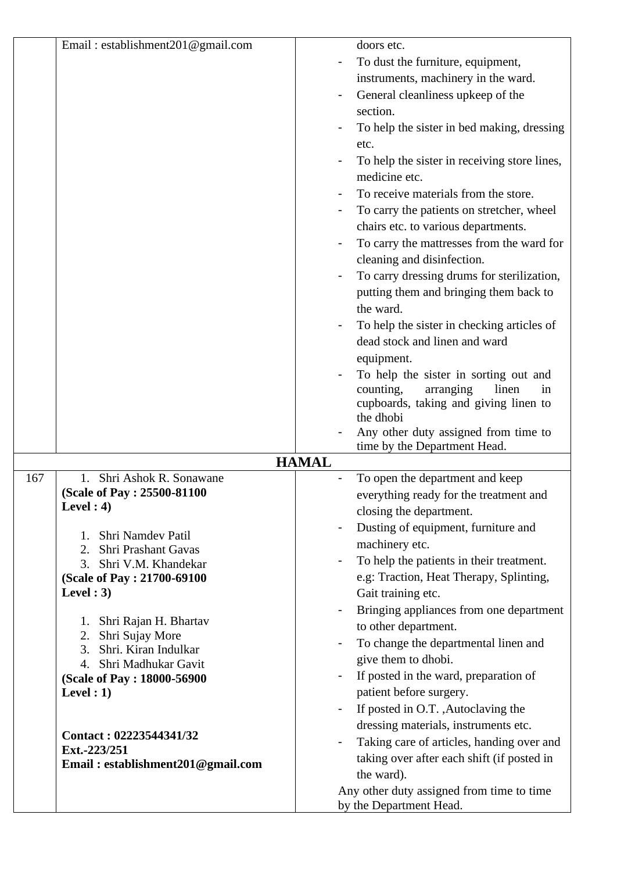|     | Email: establishment201@gmail.com                       |                              | doors etc.                                                                     |
|-----|---------------------------------------------------------|------------------------------|--------------------------------------------------------------------------------|
|     |                                                         |                              | To dust the furniture, equipment,                                              |
|     |                                                         |                              | instruments, machinery in the ward.                                            |
|     |                                                         |                              | General cleanliness upkeep of the                                              |
|     |                                                         |                              | section.                                                                       |
|     |                                                         |                              | To help the sister in bed making, dressing                                     |
|     |                                                         |                              | etc.                                                                           |
|     |                                                         |                              | To help the sister in receiving store lines,                                   |
|     |                                                         |                              | medicine etc.                                                                  |
|     |                                                         |                              | To receive materials from the store.                                           |
|     |                                                         |                              | To carry the patients on stretcher, wheel                                      |
|     |                                                         |                              | chairs etc. to various departments.                                            |
|     |                                                         |                              | To carry the mattresses from the ward for                                      |
|     |                                                         |                              | cleaning and disinfection.                                                     |
|     |                                                         |                              |                                                                                |
|     |                                                         |                              | To carry dressing drums for sterilization,                                     |
|     |                                                         |                              | putting them and bringing them back to                                         |
|     |                                                         |                              | the ward.                                                                      |
|     |                                                         |                              | To help the sister in checking articles of                                     |
|     |                                                         |                              | dead stock and linen and ward                                                  |
|     |                                                         |                              | equipment.                                                                     |
|     |                                                         |                              | To help the sister in sorting out and                                          |
|     |                                                         |                              | counting,<br>arranging<br>linen<br>in<br>cupboards, taking and giving linen to |
|     |                                                         |                              | the dhobi                                                                      |
|     |                                                         |                              | Any other duty assigned from time to                                           |
|     |                                                         |                              | time by the Department Head.                                                   |
|     |                                                         | <b>HAMAL</b>                 |                                                                                |
| 167 | Shri Ashok R. Sonawane                                  |                              | To open the department and keep                                                |
|     | (Scale of Pay: 25500-81100)                             |                              | everything ready for the treatment and                                         |
|     | Level : $4)$                                            |                              | closing the department.                                                        |
|     | Shri Namdev Patil                                       |                              | Dusting of equipment, furniture and                                            |
|     | Shri Prashant Gavas<br>2.                               |                              | machinery etc.                                                                 |
|     | Shri V.M. Khandekar<br>3.                               | $\qquad \qquad \blacksquare$ | To help the patients in their treatment.                                       |
|     | (Scale of Pay: 21700-69100)                             |                              | e.g: Traction, Heat Therapy, Splinting,                                        |
|     | Level: $3)$                                             |                              | Gait training etc.                                                             |
|     |                                                         | $\blacksquare$               | Bringing appliances from one department                                        |
|     | Shri Rajan H. Bhartav                                   |                              | to other department.                                                           |
|     | Shri Sujay More<br>2.                                   |                              | To change the departmental linen and                                           |
|     | Shri. Kiran Indulkar<br>3.<br>Shri Madhukar Gavit<br>4. |                              | give them to dhobi.                                                            |
|     | (Scale of Pay: 18000-56900)                             |                              | If posted in the ward, preparation of                                          |
|     | Level $: 1)$                                            |                              | patient before surgery.                                                        |
|     |                                                         |                              | If posted in O.T. , Autoclaving the                                            |
|     |                                                         |                              | dressing materials, instruments etc.                                           |
|     | Contact: 02223544341/32                                 |                              | Taking care of articles, handing over and                                      |
|     | Ext.-223/251                                            |                              | taking over after each shift (if posted in                                     |
|     | Email: establishment201@gmail.com                       |                              | the ward).                                                                     |
|     |                                                         |                              | Any other duty assigned from time to time                                      |
|     |                                                         |                              | by the Department Head.                                                        |